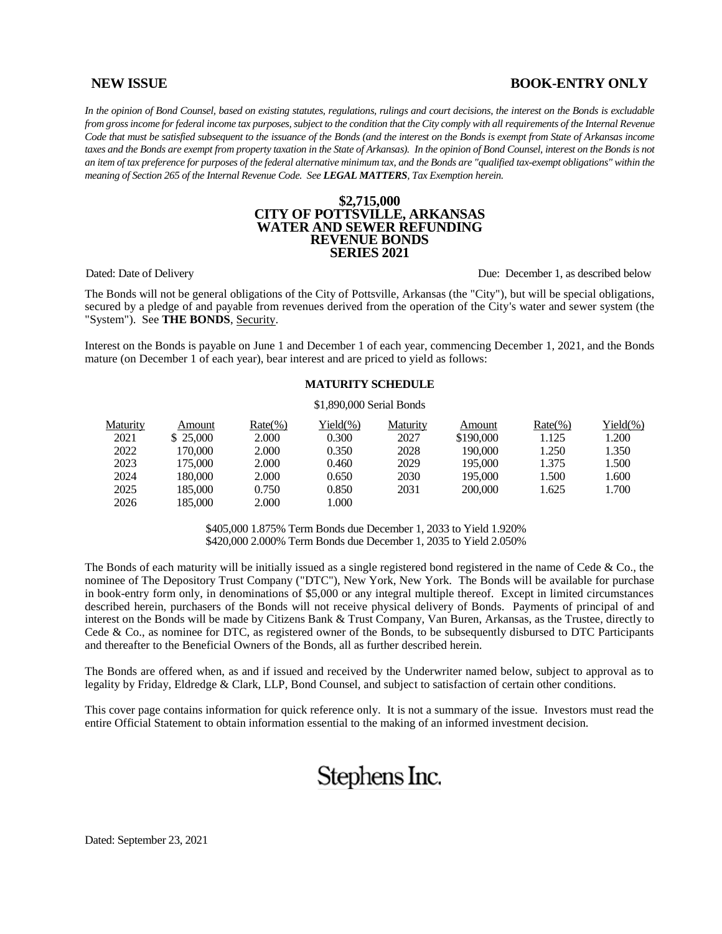# **NEW ISSUE BOOK-ENTRY ONLY**

*In the opinion of Bond Counsel, based on existing statutes, regulations, rulings and court decisions, the interest on the Bonds is excludable*  from gross income for federal income tax purposes, subject to the condition that the City comply with all requirements of the Internal Revenue *Code that must be satisfied subsequent to the issuance of the Bonds (and the interest on the Bonds is exempt from State of Arkansas income taxes and the Bonds are exempt from property taxation in the State of Arkansas). In the opinion of Bond Counsel, interest on the Bonds is not an item of tax preference for purposes of the federal alternative minimum tax, and the Bonds are "qualified tax-exempt obligations" within the meaning of Section 265 of the Internal Revenue Code. See LEGAL MATTERS, Tax Exemption herein.*

#### **\$2,715,000 CITY OF POTTSVILLE, ARKANSAS WATER AND SEWER REFUNDING REVENUE BONDS SERIES 2021**

Dated: Date of Delivery Due: December 1, as described below

The Bonds will not be general obligations of the City of Pottsville, Arkansas (the "City"), but will be special obligations, secured by a pledge of and payable from revenues derived from the operation of the City's water and sewer system (the "System"). See **THE BONDS**, Security.

Interest on the Bonds is payable on June 1 and December 1 of each year, commencing December 1, 2021, and the Bonds mature (on December 1 of each year), bear interest and are priced to yield as follows:

#### **MATURITY SCHEDULE**

#### \$1,890,000 Serial Bonds

| Maturity | Amount    | $Rate(\%)$ | Yield(%) | Maturity | Amount    | $Rate(\%)$ | Yield(%) |
|----------|-----------|------------|----------|----------|-----------|------------|----------|
| 2021     | \$ 25,000 | 2.000      | 0.300    | 2027     | \$190,000 | 1.125      | 1.200    |
| 2022     | 170,000   | 2.000      | 0.350    | 2028     | 190.000   | 1.250      | 1.350    |
| 2023     | 175,000   | 2.000      | 0.460    | 2029     | 195,000   | 1.375      | 1.500    |
| 2024     | 180.000   | 2.000      | 0.650    | 2030     | 195,000   | 1.500      | 1.600    |
| 2025     | 185.000   | 0.750      | 0.850    | 2031     | 200,000   | 1.625      | 1.700    |
| 2026     | 185.000   | 2.000      | .000     |          |           |            |          |

\$405,000 1.875% Term Bonds due December 1, 2033 to Yield 1.920% \$420,000 2.000% Term Bonds due December 1, 2035 to Yield 2.050%

The Bonds of each maturity will be initially issued as a single registered bond registered in the name of Cede  $\&$  Co., the nominee of The Depository Trust Company ("DTC"), New York, New York. The Bonds will be available for purchase in book-entry form only, in denominations of \$5,000 or any integral multiple thereof. Except in limited circumstances described herein, purchasers of the Bonds will not receive physical delivery of Bonds. Payments of principal of and interest on the Bonds will be made by Citizens Bank & Trust Company, Van Buren, Arkansas, as the Trustee, directly to Cede & Co., as nominee for DTC, as registered owner of the Bonds, to be subsequently disbursed to DTC Participants and thereafter to the Beneficial Owners of the Bonds, all as further described herein.

The Bonds are offered when, as and if issued and received by the Underwriter named below, subject to approval as to legality by Friday, Eldredge & Clark, LLP, Bond Counsel, and subject to satisfaction of certain other conditions.

This cover page contains information for quick reference only. It is not a summary of the issue. Investors must read the entire Official Statement to obtain information essential to the making of an informed investment decision.

# Stephens Inc.

Dated: September 23, 2021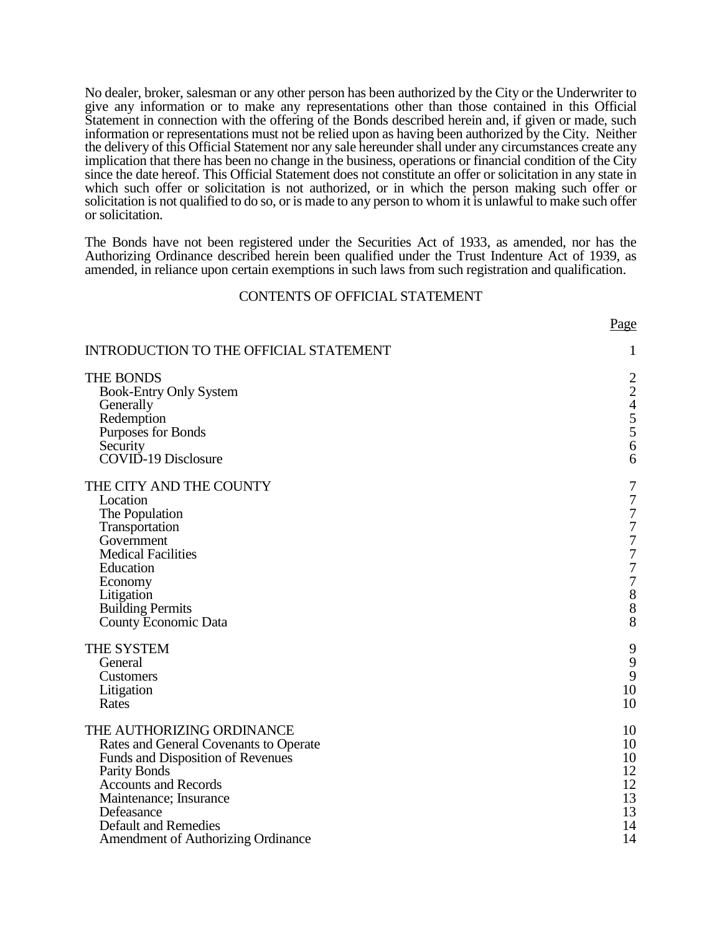No dealer, broker, salesman or any other person has been authorized by the City or the Underwriter to give any information or to make any representations other than those contained in this Official Statement in connection with the offering of the Bonds described herein and, if given or made, such information or representations must not be relied upon as having been authorized by the City. Neither the delivery of this Official Statement nor any sale hereunder shall under any circumstances create any implication that there has been no change in the business, operations or financial condition of the City since the date hereof. This Official Statement does not constitute an offer or solicitation in any state in which such offer or solicitation is not authorized, or in which the person making such offer or solicitation is not qualified to do so, or is made to any person to whom it is unlawful to make such offer or solicitation.

The Bonds have not been registered under the Securities Act of 1933, as amended, nor has the Authorizing Ordinance described herein been qualified under the Trust Indenture Act of 1939, as amended, in reliance upon certain exemptions in such laws from such registration and qualification.

#### CONTENTS OF OFFICIAL STATEMENT

Page

| INTRODUCTION TO THE OFFICIAL STATEMENT                                                                                                                                                                                                                                             | 1                                                  |
|------------------------------------------------------------------------------------------------------------------------------------------------------------------------------------------------------------------------------------------------------------------------------------|----------------------------------------------------|
| THE BONDS<br><b>Book-Entry Only System</b><br>Generally<br>Redemption<br>Purposes for Bonds<br>Security<br>COVID-19 Disclosure                                                                                                                                                     | $\frac{2}{4}$ 5<br>5<br>5<br>6<br>6                |
| THE CITY AND THE COUNTY<br>Location<br>The Population<br>Transportation<br>Government<br><b>Medical Facilities</b><br>Education<br>Economy<br>Litigation<br><b>Building Permits</b><br>County Economic Data                                                                        | 7<br>777777788<br>8                                |
| THE SYSTEM<br>General<br>Customers<br>Litigation<br>Rates                                                                                                                                                                                                                          | 9<br>9<br>9<br>10<br>10                            |
| THE AUTHORIZING ORDINANCE<br>Rates and General Covenants to Operate<br>Funds and Disposition of Revenues<br><b>Parity Bonds</b><br><b>Accounts and Records</b><br>Maintenance; Insurance<br>Defeasance<br><b>Default and Remedies</b><br><b>Amendment of Authorizing Ordinance</b> | 10<br>10<br>10<br>12<br>12<br>13<br>13<br>14<br>14 |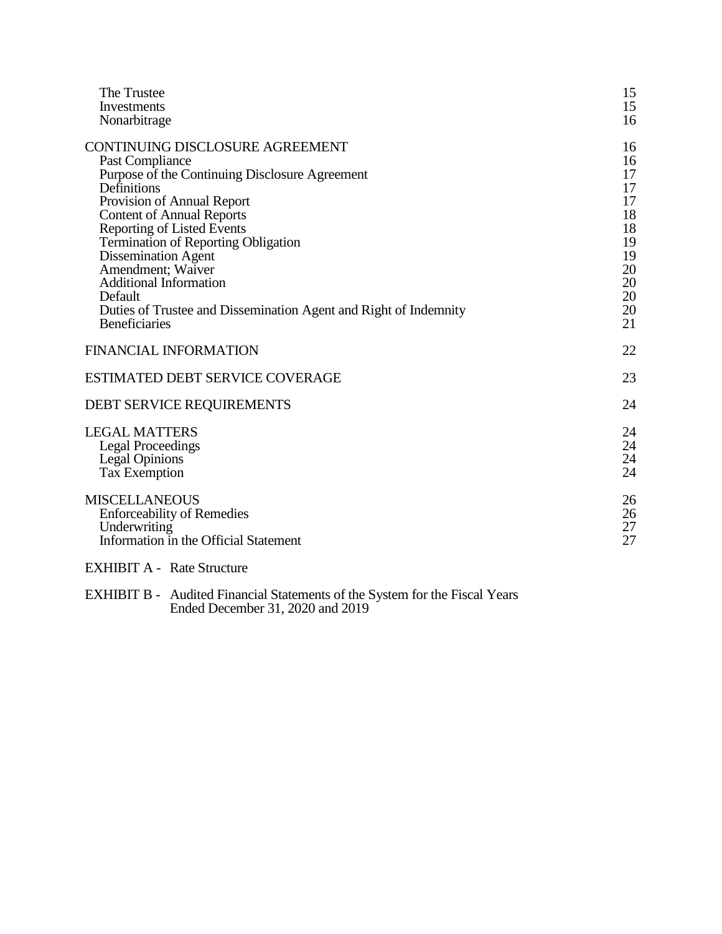| The Trustee                                                      | 15 |
|------------------------------------------------------------------|----|
| Investments                                                      | 15 |
| Nonarbitrage                                                     | 16 |
| <b>CONTINUING DISCLOSURE AGREEMENT</b>                           | 16 |
| Past Compliance                                                  | 16 |
| Purpose of the Continuing Disclosure Agreement                   | 17 |
| Definitions                                                      | 17 |
| Provision of Annual Report                                       | 17 |
| <b>Content of Annual Reports</b>                                 | 18 |
| <b>Reporting of Listed Events</b>                                | 18 |
| <b>Termination of Reporting Obligation</b>                       | 19 |
| <b>Dissemination Agent</b>                                       | 19 |
| Amendment; Waiver                                                | 20 |
| <b>Additional Information</b>                                    | 20 |
| Default                                                          | 20 |
| Duties of Trustee and Dissemination Agent and Right of Indemnity | 20 |
| <b>Beneficiaries</b>                                             | 21 |
| <b>FINANCIAL INFORMATION</b>                                     | 22 |
| <b>ESTIMATED DEBT SERVICE COVERAGE</b>                           | 23 |
| <b>DEBT SERVICE REQUIREMENTS</b>                                 | 24 |
| <b>LEGAL MATTERS</b>                                             | 24 |
| <b>Legal Proceedings</b>                                         | 24 |
| <b>Legal Opinions</b>                                            | 24 |
| <b>Tax Exemption</b>                                             | 24 |
| <b>MISCELLANEOUS</b>                                             | 26 |
| <b>Enforceability of Remedies</b>                                | 26 |
| Underwriting                                                     | 27 |
| Information in the Official Statement                            | 27 |
|                                                                  |    |

EXHIBIT A - Rate Structure

EXHIBIT B - Audited Financial Statements of the System for the Fiscal Years Ended December 31, 2020 and 2019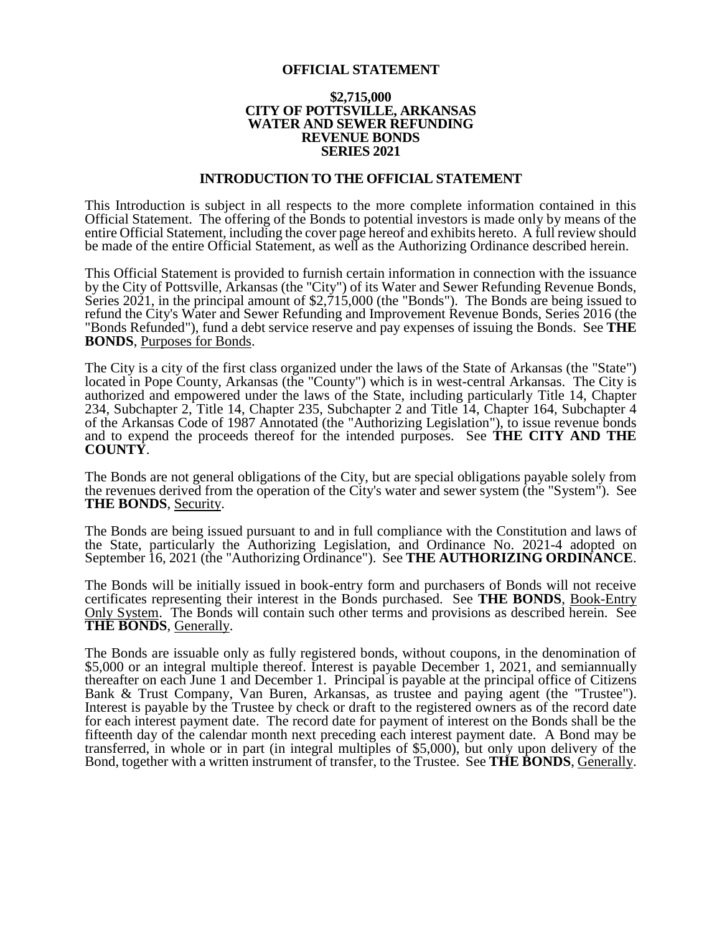#### **OFFICIAL STATEMENT**

#### **\$2,715,000 CITY OF POTTSVILLE, ARKANSAS WATER AND SEWER REFUNDING REVENUE BONDS SERIES 2021**

#### **INTRODUCTION TO THE OFFICIAL STATEMENT**

This Introduction is subject in all respects to the more complete information contained in this Official Statement. The offering of the Bonds to potential investors is made only by means of the entire Official Statement, including the cover page hereof and exhibits hereto. A full review should be made of the entire Official Statement, as well as the Authorizing Ordinance described herein.

This Official Statement is provided to furnish certain information in connection with the issuance by the City of Pottsville, Arkansas (the "City") of its Water and Sewer Refunding Revenue Bonds, Series  $20\overline{2}1$ , in the principal amount of  $\overline{$2,715,000}$  (the "Bonds"). The Bonds are being issued to refund the City's Water and Sewer Refunding and Improvement Revenue Bonds, Series 2016 (the "Bonds Refunded"), fund a debt service reserve and pay expenses of issuing the Bonds. See **THE BONDS**, Purposes for Bonds.

The City is a city of the first class organized under the laws of the State of Arkansas (the "State") located in Pope County, Arkansas (the "County") which is in west-central Arkansas. The City is authorized and empowered under the laws of the State, including particularly Title 14, Chapter 234, Subchapter 2, Title 14, Chapter 235, Subchapter 2 and Title 14, Chapter 164, Subchapter 4 of the Arkansas Code of 1987 Annotated (the "Authorizing Legislation"), to issue revenue bonds and to expend the proceeds thereof for the intended purposes. See **THE CITY AND THE COUNTY**.

The Bonds are not general obligations of the City, but are special obligations payable solely from the revenues derived from the operation of the City's water and sewer system (the "System"). See **THE BONDS**, Security.

The Bonds are being issued pursuant to and in full compliance with the Constitution and laws of the State, particularly the Authorizing Legislation, and Ordinance No. 2021-4 adopted on September 16, 2021 (the "Authorizing Ordinance"). See **THE AUTHORIZING ORDINANCE**.

The Bonds will be initially issued in book-entry form and purchasers of Bonds will not receive certificates representing their interest in the Bonds purchased. See **THE BONDS**, Book-Entry Only System. The Bonds will contain such other terms and provisions as described herein. See **THE BONDS**, Generally.

The Bonds are issuable only as fully registered bonds, without coupons, in the denomination of \$5,000 or an integral multiple thereof. Interest is payable December 1, 2021, and semiannually thereafter on each June 1 and December 1. Principal is payable at the principal office of Citizens Bank & Trust Company, Van Buren, Arkansas, as trustee and paying agent (the "Trustee"). Interest is payable by the Trustee by check or draft to the registered owners as of the record date for each interest payment date. The record date for payment of interest on the Bonds shall be the fifteenth day of the calendar month next preceding each interest payment date. A Bond may be transferred, in whole or in part (in integral multiples of \$5,000), but only upon delivery of the Bond, together with a written instrument of transfer, to the Trustee. See **THE BONDS**, Generally.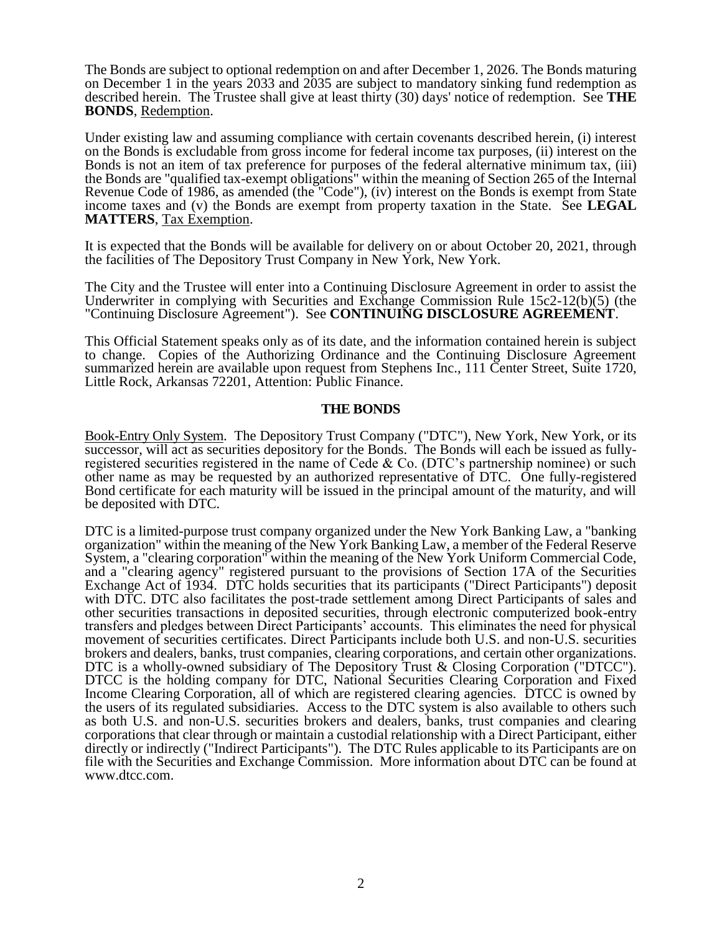The Bonds are subject to optional redemption on and after December 1, 2026. The Bonds maturing on December 1 in the years 2033 and 2035 are subject to mandatory sinking fund redemption as described herein. The Trustee shall give at least thirty (30) days' notice of redemption. See **THE BONDS**, Redemption.

Under existing law and assuming compliance with certain covenants described herein, (i) interest on the Bonds is excludable from gross income for federal income tax purposes, (ii) interest on the Bonds is not an item of tax preference for purposes of the federal alternative minimum tax, (iii) the Bonds are "qualified tax-exempt obligations" within the meaning of Section 265 of the Internal Revenue Code of 1986, as amended (the "Code"), (iv) interest on the Bonds is exempt from State income taxes and (v) the Bonds are exempt from property taxation in the State. See **LEGAL MATTERS**, Tax Exemption.

It is expected that the Bonds will be available for delivery on or about October 20, 2021, through the facilities of The Depository Trust Company in New York, New York.

The City and the Trustee will enter into a Continuing Disclosure Agreement in order to assist the Underwriter in complying with Securities and Exchange Commission Rule 15c2-12(b)(5) (the "Continuing Disclosure Agreement"). See **CONTINUING DISCLOSURE AGREEMENT**.

This Official Statement speaks only as of its date, and the information contained herein is subject to change. Copies of the Authorizing Ordinance and the Continuing Disclosure Agreement summarized herein are available upon request from Stephens Inc., 111 Center Street, Suite 1720, Little Rock, Arkansas 72201, Attention: Public Finance.

### **THE BONDS**

Book-Entry Only System. The Depository Trust Company ("DTC"), New York, New York, or its successor, will act as securities depository for the Bonds. The Bonds will each be issued as fullyregistered securities registered in the name of Cede & Co. (DTC's partnership nominee) or such other name as may be requested by an authorized representative of DTC. One fully-registered Bond certificate for each maturity will be issued in the principal amount of the maturity, and will be deposited with DTC.

DTC is a limited-purpose trust company organized under the New York Banking Law, a "banking organization" within the meaning of the New York Banking Law, a member of the Federal Reserve System, a "clearing corporation" within the meaning of the New York Uniform Commercial Code, and a "clearing agency" registered pursuant to the provisions of Section 17A of the Securities Exchange Act of 1934. DTC holds securities that its participants ("Direct Participants") deposit with DTC. DTC also facilitates the post-trade settlement among Direct Participants of sales and other securities transactions in deposited securities, through electronic computerized book-entry transfers and pledges between Direct Participants' accounts. This eliminates the need for physical movement of securities certificates. Direct Participants include both U.S. and non-U.S. securities brokers and dealers, banks, trust companies, clearing corporations, and certain other organizations. DTC is a wholly-owned subsidiary of The Depository Trust & Closing Corporation ("DTCC"). DTCC is the holding company for DTC, National Securities Clearing Corporation and Fixed Income Clearing Corporation, all of which are registered clearing agencies. DTCC is owned by the users of its regulated subsidiaries. Access to the DTC system is also available to others such as both U.S. and non-U.S. securities brokers and dealers, banks, trust companies and clearing corporations that clear through or maintain a custodial relationship with a Direct Participant, either directly or indirectly ("Indirect Participants"). The DTC Rules applicable to its Participants are on file with the Securities and Exchange Commission. More information about DTC can be found at www.dtcc.com.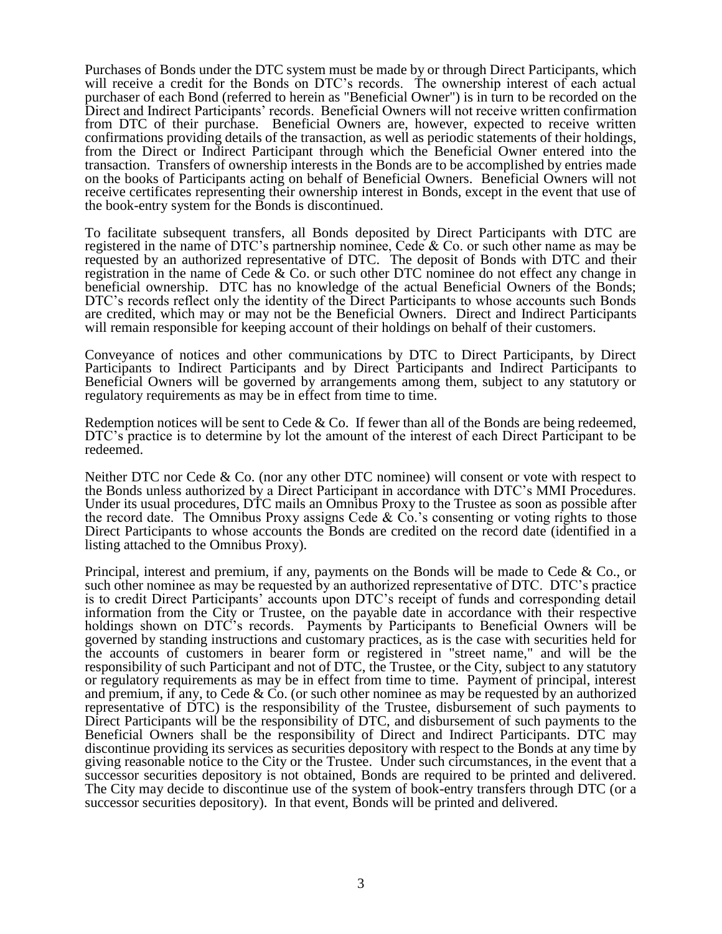Purchases of Bonds under the DTC system must be made by or through Direct Participants, which will receive a credit for the Bonds on DTC's records. The ownership interest of each actual purchaser of each Bond (referred to herein as "Beneficial Owner") is in turn to be recorded on the Direct and Indirect Participants' records. Beneficial Owners will not receive written confirmation from DTC of their purchase. Beneficial Owners are, however, expected to receive written confirmations providing details of the transaction, as well as periodic statements of their holdings, from the Direct or Indirect Participant through which the Beneficial Owner entered into the transaction. Transfers of ownership interests in the Bonds are to be accomplished by entries made on the books of Participants acting on behalf of Beneficial Owners. Beneficial Owners will not receive certificates representing their ownership interest in Bonds, except in the event that use of the book-entry system for the Bonds is discontinued.

To facilitate subsequent transfers, all Bonds deposited by Direct Participants with DTC are registered in the name of DTC's partnership nominee, Cede & Co. or such other name as may be requested by an authorized representative of DTC. The deposit of Bonds with DTC and their registration in the name of Cede & Co. or such other DTC nominee do not effect any change in beneficial ownership. DTC has no knowledge of the actual Beneficial Owners of the Bonds; DTC's records reflect only the identity of the Direct Participants to whose accounts such Bonds are credited, which may or may not be the Beneficial Owners. Direct and Indirect Participants will remain responsible for keeping account of their holdings on behalf of their customers.

Conveyance of notices and other communications by DTC to Direct Participants, by Direct Participants to Indirect Participants and by Direct Participants and Indirect Participants to Beneficial Owners will be governed by arrangements among them, subject to any statutory or regulatory requirements as may be in effect from time to time.

Redemption notices will be sent to Cede  $&$  Co. If fewer than all of the Bonds are being redeemed, DTC's practice is to determine by lot the amount of the interest of each Direct Participant to be redeemed.

Neither DTC nor Cede & Co. (nor any other DTC nominee) will consent or vote with respect to the Bonds unless authorized by a Direct Participant in accordance with DTC's MMI Procedures. Under its usual procedures, DTC mails an Omnibus Proxy to the Trustee as soon as possible after the record date. The Omnibus Proxy assigns Cede & Co.'s consenting or voting rights to those Direct Participants to whose accounts the Bonds are credited on the record date (identified in a listing attached to the Omnibus Proxy).

Principal, interest and premium, if any, payments on the Bonds will be made to Cede & Co., or such other nominee as may be requested by an authorized representative of DTC. DTC's practice is to credit Direct Participants' accounts upon DTC's receipt of funds and corresponding detail information from the City or Trustee, on the payable date in accordance with their respective holdings shown on DTC's records. Payments by Participants to Beneficial Owners will be governed by standing instructions and customary practices, as is the case with securities held for the accounts of customers in bearer form or registered in "street name," and will be the responsibility of such Participant and not of DTC, the Trustee, or the City, subject to any statutory or regulatory requirements as may be in effect from time to time. Payment of principal, interest and premium, if any, to Cede  $& Co.$  (or such other nominee as may be requested by an authorized representative of DTC) is the responsibility of the Trustee, disbursement of such payments to Direct Participants will be the responsibility of DTC, and disbursement of such payments to the Beneficial Owners shall be the responsibility of Direct and Indirect Participants. DTC may discontinue providing its services as securities depository with respect to the Bonds at any time by giving reasonable notice to the City or the Trustee. Under such circumstances, in the event that a successor securities depository is not obtained, Bonds are required to be printed and delivered. The City may decide to discontinue use of the system of book-entry transfers through DTC (or a successor securities depository). In that event, Bonds will be printed and delivered.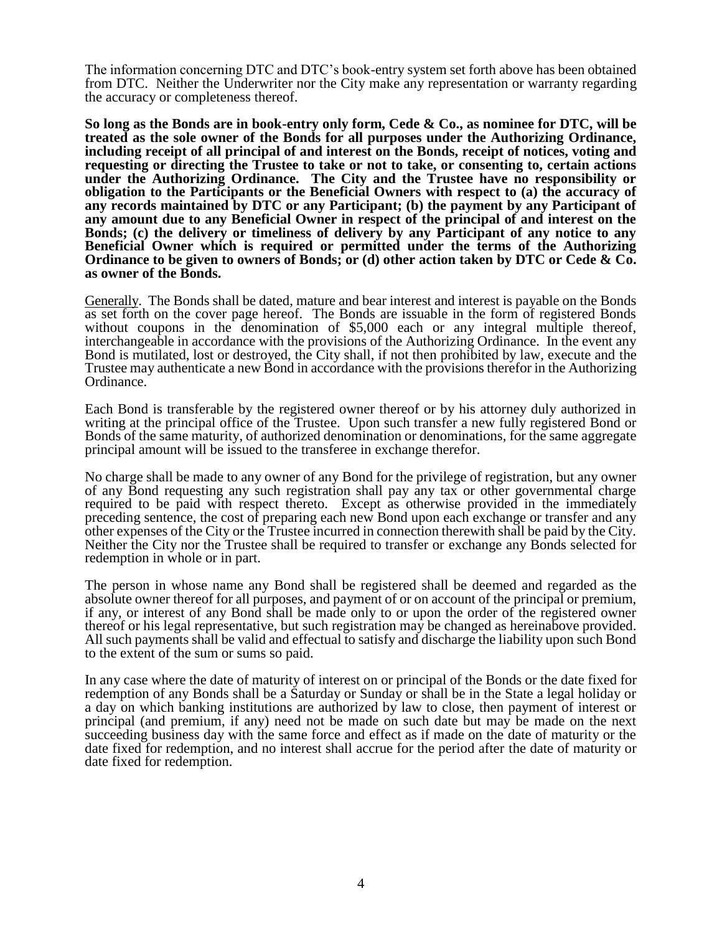The information concerning DTC and DTC's book-entry system set forth above has been obtained from DTC. Neither the Underwriter nor the City make any representation or warranty regarding the accuracy or completeness thereof.

**So long as the Bonds are in book-entry only form, Cede & Co., as nominee for DTC, will be treated as the sole owner of the Bonds for all purposes under the Authorizing Ordinance, including receipt of all principal of and interest on the Bonds, receipt of notices, voting and requesting or directing the Trustee to take or not to take, or consenting to, certain actions under the Authorizing Ordinance. The City and the Trustee have no responsibility or obligation to the Participants or the Beneficial Owners with respect to (a) the accuracy of any records maintained by DTC or any Participant; (b) the payment by any Participant of any amount due to any Beneficial Owner in respect of the principal of and interest on the Bonds; (c) the delivery or timeliness of delivery by any Participant of any notice to any Beneficial Owner which is required or permitted under the terms of the Authorizing Ordinance to be given to owners of Bonds; or (d) other action taken by DTC or Cede & Co. as owner of the Bonds.**

Generally. The Bonds shall be dated, mature and bear interest and interest is payable on the Bonds as set forth on the cover page hereof. The Bonds are issuable in the form of registered Bonds without coupons in the denomination of \$5,000 each or any integral multiple thereof, interchangeable in accordance with the provisions of the Authorizing Ordinance. In the event any Bond is mutilated, lost or destroyed, the City shall, if not then prohibited by law, execute and the Trustee may authenticate a new Bond in accordance with the provisions therefor in the Authorizing Ordinance.

Each Bond is transferable by the registered owner thereof or by his attorney duly authorized in writing at the principal office of the Trustee. Upon such transfer a new fully registered Bond or Bonds of the same maturity, of authorized denomination or denominations, for the same aggregate principal amount will be issued to the transferee in exchange therefor.

No charge shall be made to any owner of any Bond for the privilege of registration, but any owner of any Bond requesting any such registration shall pay any tax or other governmental charge required to be paid with respect thereto. Except as otherwise provided in the immediately preceding sentence, the cost of preparing each new Bond upon each exchange or transfer and any other expenses of the City or the Trustee incurred in connection therewith shall be paid by the City. Neither the City nor the Trustee shall be required to transfer or exchange any Bonds selected for redemption in whole or in part.

The person in whose name any Bond shall be registered shall be deemed and regarded as the absolute owner thereof for all purposes, and payment of or on account of the principal or premium, if any, or interest of any Bond shall be made only to or upon the order of the registered owner thereof or his legal representative, but such registration may be changed as hereinabove provided. All such payments shall be valid and effectual to satisfy and discharge the liability upon such Bond to the extent of the sum or sums so paid.

In any case where the date of maturity of interest on or principal of the Bonds or the date fixed for redemption of any Bonds shall be a Saturday or Sunday or shall be in the State a legal holiday or a day on which banking institutions are authorized by law to close, then payment of interest or principal (and premium, if any) need not be made on such date but may be made on the next succeeding business day with the same force and effect as if made on the date of maturity or the date fixed for redemption, and no interest shall accrue for the period after the date of maturity or date fixed for redemption.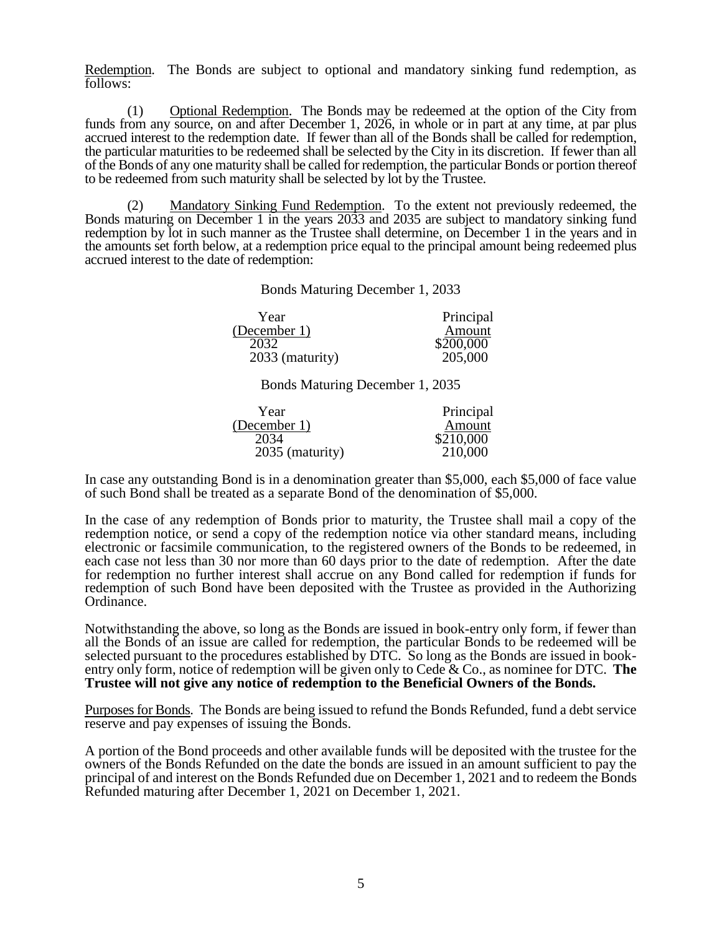Redemption. The Bonds are subject to optional and mandatory sinking fund redemption, as follows:

(1) Optional Redemption. The Bonds may be redeemed at the option of the City from funds from any source, on and after December 1, 2026, in whole or in part at any time, at par plus accrued interest to the redemption date. If fewer than all of the Bonds shall be called for redemption, the particular maturities to be redeemed shall be selected by the City in its discretion. If fewer than all of the Bonds of any one maturity shall be called for redemption, the particular Bonds or portion thereof to be redeemed from such maturity shall be selected by lot by the Trustee.

(2) Mandatory Sinking Fund Redemption. To the extent not previously redeemed, the Bonds maturing on December 1 in the years 2033 and 2035 are subject to mandatory sinking fund redemption by lot in such manner as the Trustee shall determine, on December 1 in the years and in the amounts set forth below, at a redemption price equal to the principal amount being redeemed plus accrued interest to the date of redemption:

Bonds Maturing December 1, 2033

| Year            | Principal |
|-----------------|-----------|
| (December 1)    | Amount    |
| 2032            | \$200,000 |
| 2033 (maturity) | 205,000   |

Bonds Maturing December 1, 2035

| Year            | Principal |
|-----------------|-----------|
| (December 1)    | Amount    |
| 2034            | \$210,000 |
| 2035 (maturity) | 210,000   |

In case any outstanding Bond is in a denomination greater than \$5,000, each \$5,000 of face value of such Bond shall be treated as a separate Bond of the denomination of \$5,000.

In the case of any redemption of Bonds prior to maturity, the Trustee shall mail a copy of the redemption notice, or send a copy of the redemption notice via other standard means, including electronic or facsimile communication, to the registered owners of the Bonds to be redeemed, in each case not less than 30 nor more than 60 days prior to the date of redemption. After the date for redemption no further interest shall accrue on any Bond called for redemption if funds for redemption of such Bond have been deposited with the Trustee as provided in the Authorizing Ordinance.

Notwithstanding the above, so long as the Bonds are issued in book-entry only form, if fewer than all the Bonds of an issue are called for redemption, the particular Bonds to be redeemed will be selected pursuant to the procedures established by DTC. So long as the Bonds are issued in bookentry only form, notice of redemption will be given only to Cede & Co., as nominee for DTC. **The Trustee will not give any notice of redemption to the Beneficial Owners of the Bonds.**

Purposes for Bonds. The Bonds are being issued to refund the Bonds Refunded, fund a debt service reserve and pay expenses of issuing the Bonds.

A portion of the Bond proceeds and other available funds will be deposited with the trustee for the owners of the Bonds Refunded on the date the bonds are issued in an amount sufficient to pay the principal of and interest on the Bonds Refunded due on December 1, 2021 and to redeem the Bonds Refunded maturing after December 1, 2021 on December 1, 2021.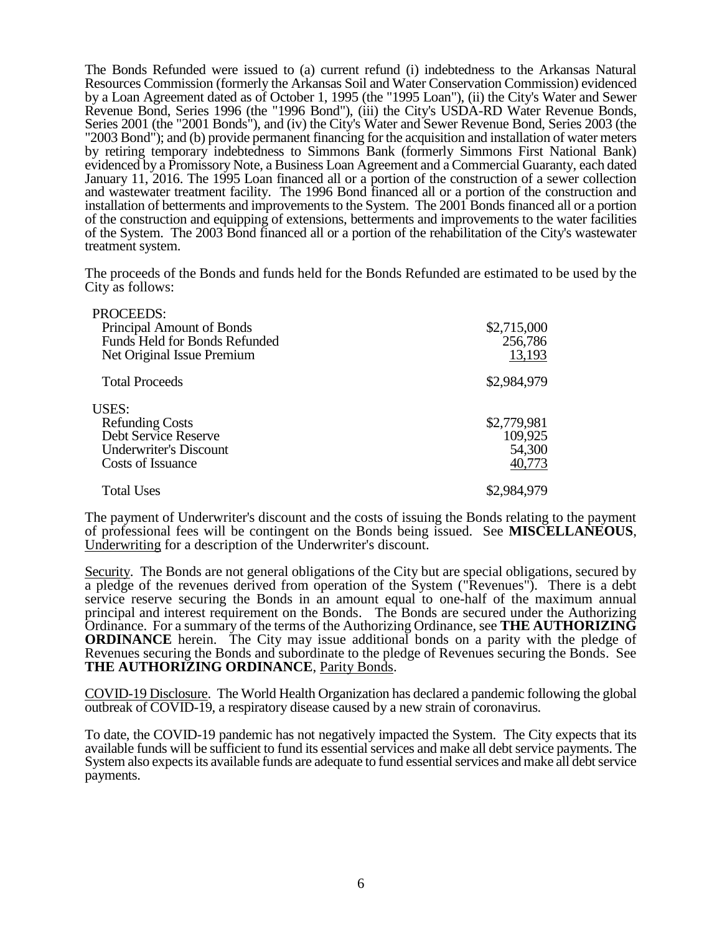The Bonds Refunded were issued to (a) current refund (i) indebtedness to the Arkansas Natural Resources Commission (formerly the Arkansas Soil and Water Conservation Commission) evidenced by a Loan Agreement dated as of October 1, 1995 (the "1995 Loan"), (ii) the City's Water and Sewer Revenue Bond, Series 1996 (the "1996 Bond"), (iii) the City's USDA-RD Water Revenue Bonds, Series 2001 (the "2001 Bonds"), and (iv) the City's Water and Sewer Revenue Bond, Series 2003 (the "2003 Bond"); and (b) provide permanent financing for the acquisition and installation of water meters by retiring temporary indebtedness to Simmons Bank (formerly Simmons First National Bank) evidenced by a Promissory Note, a Business Loan Agreement and a Commercial Guaranty, each dated January 11, 2016. The 1995 Loan financed all or a portion of the construction of a sewer collection and wastewater treatment facility. The 1996 Bond financed all or a portion of the construction and installation of betterments and improvements to the System. The 2001 Bonds financed all or a portion of the construction and equipping of extensions, betterments and improvements to the water facilities of the System. The 2003 Bond financed all or a portion of the rehabilitation of the City's wastewater treatment system.

The proceeds of the Bonds and funds held for the Bonds Refunded are estimated to be used by the City as follows:

| PROCEEDS:<br>Principal Amount of Bonds<br>Funds Held for Bonds Refunded<br>Net Original Issue Premium                | \$2,715,000<br>256,786<br>13,193           |
|----------------------------------------------------------------------------------------------------------------------|--------------------------------------------|
| <b>Total Proceeds</b>                                                                                                | \$2,984,979                                |
| <b>USES:</b><br><b>Refunding Costs</b><br>Debt Service Reserve<br><b>Underwriter's Discount</b><br>Costs of Issuance | \$2,779,981<br>109,925<br>54,300<br>40,773 |
| <b>Total Uses</b>                                                                                                    | \$2,984,979                                |

The payment of Underwriter's discount and the costs of issuing the Bonds relating to the payment of professional fees will be contingent on the Bonds being issued. See **MISCELLANEOUS**, Underwriting for a description of the Underwriter's discount.

Security. The Bonds are not general obligations of the City but are special obligations, secured by a pledge of the revenues derived from operation of the System ("Revenues"). There is a debt service reserve securing the Bonds in an amount equal to one-half of the maximum annual principal and interest requirement on the Bonds. The Bonds are secured under the Authorizing Ordinance. For a summary of the terms of the Authorizing Ordinance, see **THE AUTHORIZING ORDINANCE** herein. The City may issue additional bonds on a parity with the pledge of Revenues securing the Bonds and subordinate to the pledge of Revenues securing the Bonds. See **THE AUTHORIZING ORDINANCE**, Parity Bonds.

COVID-19 Disclosure. The World Health Organization has declared a pandemic following the global outbreak of COVID-19, a respiratory disease caused by a new strain of coronavirus.

To date, the COVID-19 pandemic has not negatively impacted the System. The City expects that its available funds will be sufficient to fund its essential services and make all debt service payments. The System also expects its available funds are adequate to fund essential services and make all debt service payments.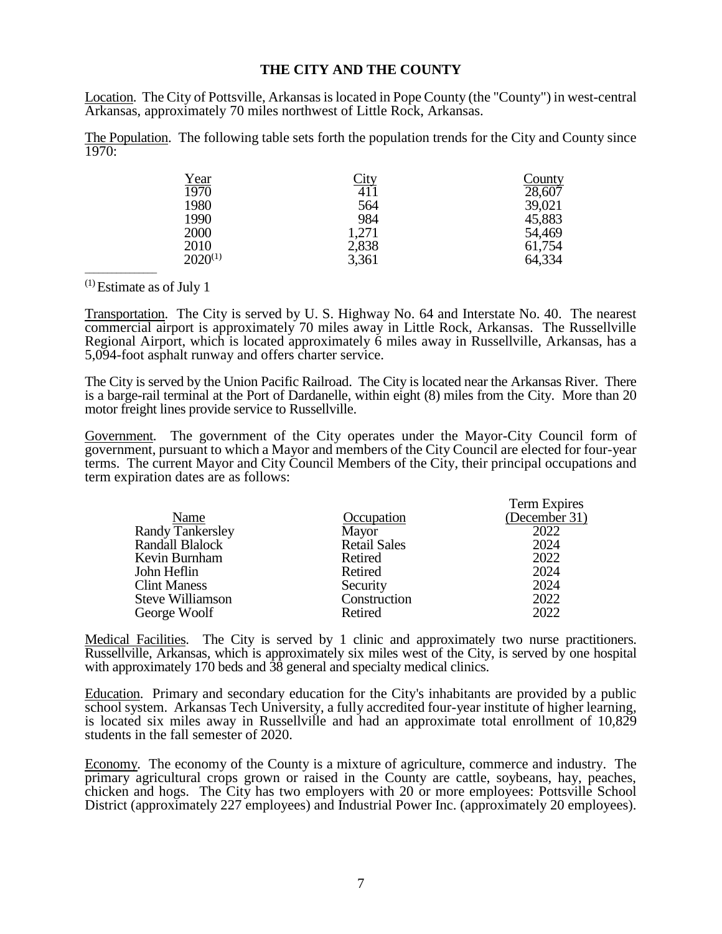### **THE CITY AND THE COUNTY**

Location. The City of Pottsville, Arkansas is located in Pope County (the "County") in west-central Arkansas, approximately 70 miles northwest of Little Rock, Arkansas.

The Population. The following table sets forth the population trends for the City and County since  $\frac{1970}{.}$ 

| <u>Year</u>  | <u>City</u> | <u>County</u> |
|--------------|-------------|---------------|
| 1970         | 411         | 28,607        |
| 1980         | 564         | 39,021        |
| 1990         | 984         | 45,883        |
| 2000         | 1,271       | 54,469        |
| 2010         | 2,838       | 61,754        |
| $2020^{(1)}$ | 3,361       | 64,334        |

(1) Estimate as of July 1

\_\_\_\_\_\_\_\_\_\_\_\_\_\_\_\_

Transportation. The City is served by U. S. Highway No. 64 and Interstate No. 40. The nearest commercial airport is approximately 70 miles away in Little Rock, Arkansas. The Russellville Regional Airport, which is located approximately 6 miles away in Russellville, Arkansas, has a 5,094-foot asphalt runway and offers charter service.

The City is served by the Union Pacific Railroad. The City is located near the Arkansas River. There is a barge-rail terminal at the Port of Dardanelle, within eight (8) miles from the City. More than 20 motor freight lines provide service to Russellville.

Government. The government of the City operates under the Mayor-City Council form of government, pursuant to which a Mayor and members of the City Council are elected for four-year terms. The current Mayor and City Council Members of the City, their principal occupations and term expiration dates are as follows:

|                         |                     | Term Expires  |
|-------------------------|---------------------|---------------|
| Name                    | Occupation          | (December 31) |
| <b>Randy Tankersley</b> | Mayor               | 2022          |
| Randall Blalock         | <b>Retail Sales</b> | 2024          |
| Kevin Burnham           | Retired             | 2022          |
| John Heflin             | Retired             | 2024          |
| <b>Clint Maness</b>     | Security            | 2024          |
| <b>Steve Williamson</b> | Construction        | 2022          |
| George Woolf            | Retired             | 2022          |

Medical Facilities. The City is served by 1 clinic and approximately two nurse practitioners. Russellville, Arkansas, which is approximately six miles west of the City, is served by one hospital with approximately 170 beds and 38 general and specialty medical clinics.

Education. Primary and secondary education for the City's inhabitants are provided by a public school system. Arkansas Tech University, a fully accredited four-year institute of higher learning, is located six miles away in Russellville and had an approximate total enrollment of 10,829 students in the fall semester of 2020.

Economy. The economy of the County is a mixture of agriculture, commerce and industry. The primary agricultural crops grown or raised in the County are cattle, soybeans, hay, peaches, chicken and hogs. The City has two employers with 20 or more employees: Pottsville School District (approximately 227 employees) and Industrial Power Inc. (approximately 20 employees).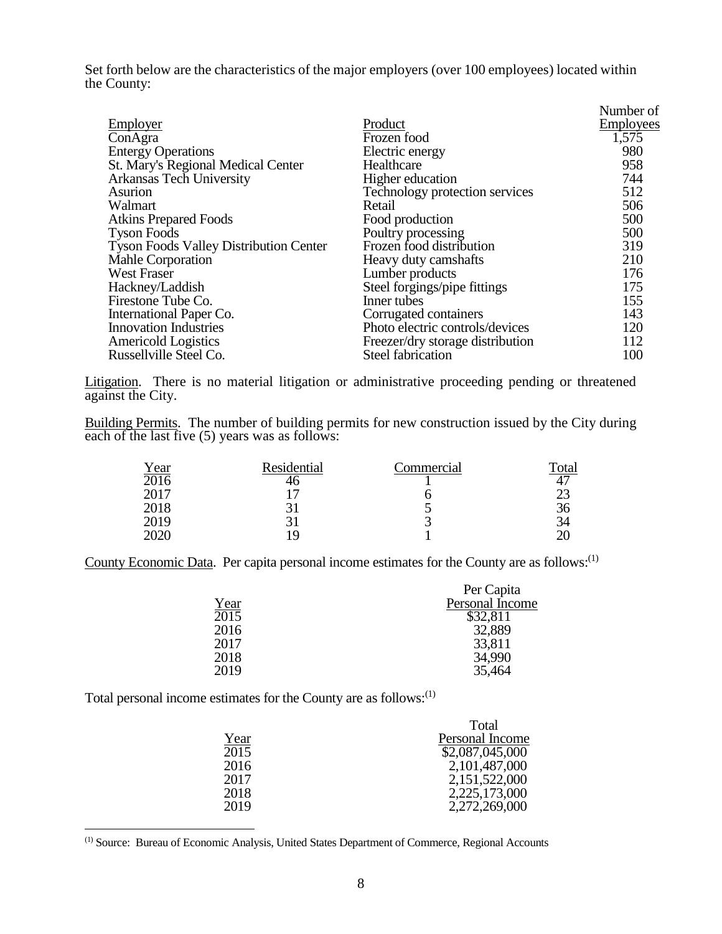Set forth below are the characteristics of the major employers (over 100 employees) located within the County:

|                                               |                                  | Number of        |
|-----------------------------------------------|----------------------------------|------------------|
| Employer                                      | Product                          | <b>Employees</b> |
| ConAgra                                       | Frozen food                      | 1,575            |
| <b>Entergy Operations</b>                     | Electric energy                  | 980              |
| St. Mary's Regional Medical Center            | Healthcare                       | 958              |
| Arkansas Tech University                      | Higher education                 | 744              |
| Asurion                                       | Technology protection services   | 512              |
| Walmart                                       | Retail                           | 506              |
| <b>Atkins Prepared Foods</b>                  | Food production                  | 500              |
| <b>Tyson Foods</b>                            | Poultry processing               | 500              |
| <b>Tyson Foods Valley Distribution Center</b> | Frozen food distribution         | 319              |
| Mahle Corporation                             | Heavy duty camshafts             | 210              |
| <b>West Fraser</b>                            | Lumber products                  | 176              |
| Hackney/Laddish                               | Steel forgings/pipe fittings     | 175              |
| Firestone Tube Co.                            | Inner tubes                      | 155              |
| International Paper Co.                       | Corrugated containers            | 143              |
| <b>Innovation Industries</b>                  | Photo electric controls/devices  | 120              |
| <b>Americold Logistics</b>                    | Freezer/dry storage distribution | 112              |
| Russellville Steel Co.                        | <b>Steel fabrication</b>         | 100              |

Litigation. There is no material litigation or administrative proceeding pending or threatened against the City.

Building Permits. The number of building permits for new construction issued by the City during each of the last five (5) years was as follows:

| <u>Year</u>       | Residential | Commercial | Total |
|-------------------|-------------|------------|-------|
| $\overline{2016}$ |             |            |       |
| 2017              |             |            |       |
| 2018              |             |            | 36    |
| 2019              |             |            | 34    |
| <b>2020</b>       | 19          |            |       |

County Economic Data. Per capita personal income estimates for the County are as follows:<sup>(1)</sup>

|      | Per Capita      |
|------|-----------------|
| Year | Personal Income |
| 2015 | \$32,811        |
| 2016 | 32,889          |
| 2017 | 33,811          |
| 2018 | 34,990          |
| 2019 | 35,464          |

Total personal income estimates for the County are as follows:<sup>(1)</sup>

 $\overline{a}$ 

|      | Total           |
|------|-----------------|
| Year | Personal Income |
| 2015 | \$2,087,045,000 |
| 2016 | 2,101,487,000   |
| 2017 | 2,151,522,000   |
| 2018 | 2,225,173,000   |
| 2019 | 2,272,269,000   |
|      |                 |

(1) Source: Bureau of Economic Analysis, United States Department of Commerce, Regional Accounts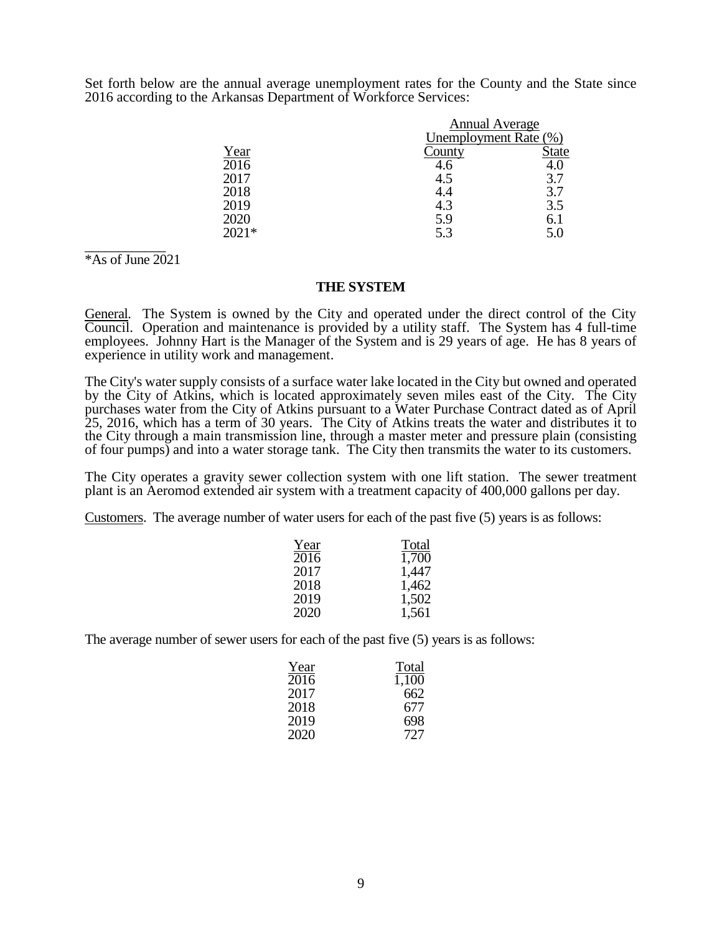Set forth below are the annual average unemployment rates for the County and the State since 2016 according to the Arkansas Department of Workforce Services:

|         | <b>Annual Average</b> |       |
|---------|-----------------------|-------|
|         | Unemployment Rate (%) |       |
| Year    | County                | State |
| 2016    | 4.6                   | 4.0   |
| 2017    | 4.5                   | 3.7   |
| 2018    | 4.4                   | 3.7   |
| 2019    | 4.3                   | 3.5   |
| 2020    | 5.9                   | 6.1   |
| $2021*$ | 5.3                   | 5.0   |

\_\_\_\_\_\_\_\_\_\_\_\_ \*As of June 2021

#### **THE SYSTEM**

General. The System is owned by the City and operated under the direct control of the City Council. Operation and maintenance is provided by a utility staff. The System has 4 full-time employees. Johnny Hart is the Manager of the System and is 29 years of age. He has 8 years of experience in utility work and management.

The City's water supply consists of a surface water lake located in the City but owned and operated by the City of Atkins, which is located approximately seven miles east of the City. The City purchases water from the City of Atkins pursuant to a Water Purchase Contract dated as of April 25, 2016, which has a term of 30 years. The City of Atkins treats the water and distributes it to the City through a main transmission line, through a master meter and pressure plain (consisting of four pumps) and into a water storage tank. The City then transmits the water to its customers.

The City operates a gravity sewer collection system with one lift station. The sewer treatment plant is an Aeromod extended air system with a treatment capacity of 400,000 gallons per day.

Customers. The average number of water users for each of the past five (5) years is as follows:

| Year | Total |
|------|-------|
| 2016 | 1,700 |
| 2017 | 1,447 |
| 2018 | 1,462 |
| 2019 | 1,502 |
| 2020 | 1,561 |

The average number of sewer users for each of the past five (5) years is as follows:

| Year | Total |
|------|-------|
| 2016 | 1,100 |
| 2017 | 662   |
| 2018 | 677   |
| 2019 | 698   |
| 2020 | 727   |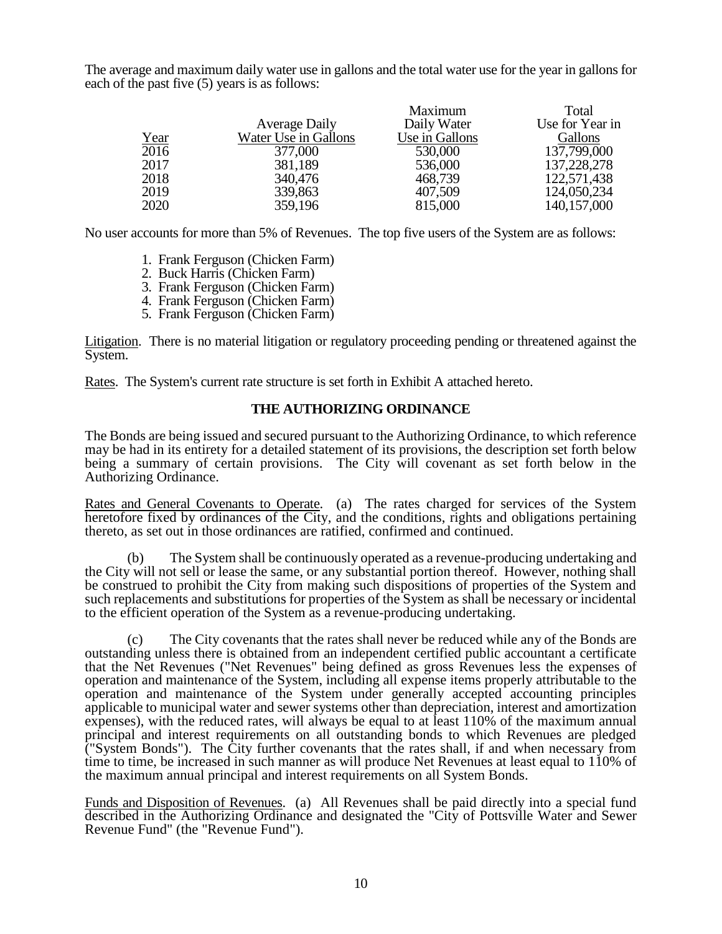The average and maximum daily water use in gallons and the total water use for the year in gallons for each of the past five (5) years is as follows:

|      |                      | Maximum        | Total           |
|------|----------------------|----------------|-----------------|
|      | <b>Average Daily</b> | Daily Water    | Use for Year in |
| Year | Water Use in Gallons | Use in Gallons | <b>Gallons</b>  |
| 2016 | 377,000              | 530,000        | 137,799,000     |
| 2017 | 381,189              | 536,000        | 137,228,278     |
| 2018 | 340,476              | 468,739        | 122,571,438     |
| 2019 | 339,863              | 407,509        | 124,050,234     |
| 2020 | 359,196              | 815,000        | 140, 157, 000   |

No user accounts for more than 5% of Revenues. The top five users of the System are as follows:

- 1. Frank Ferguson (Chicken Farm)
- 2. Buck Harris (Chicken Farm)
- 3. Frank Ferguson (Chicken Farm)
- 4. Frank Ferguson (Chicken Farm)
- 5. Frank Ferguson (Chicken Farm)

Litigation. There is no material litigation or regulatory proceeding pending or threatened against the System.

Rates. The System's current rate structure is set forth in Exhibit A attached hereto.

# **THE AUTHORIZING ORDINANCE**

The Bonds are being issued and secured pursuant to the Authorizing Ordinance, to which reference may be had in its entirety for a detailed statement of its provisions, the description set forth below being a summary of certain provisions. The City will covenant as set forth below in the Authorizing Ordinance.

Rates and General Covenants to Operate. (a) The rates charged for services of the System heretofore fixed by ordinances of the City, and the conditions, rights and obligations pertaining thereto, as set out in those ordinances are ratified, confirmed and continued.

(b) The System shall be continuously operated as a revenue-producing undertaking and the City will not sell or lease the same, or any substantial portion thereof. However, nothing shall be construed to prohibit the City from making such dispositions of properties of the System and such replacements and substitutions for properties of the System as shall be necessary or incidental to the efficient operation of the System as a revenue-producing undertaking.

(c) The City covenants that the rates shall never be reduced while any of the Bonds are outstanding unless there is obtained from an independent certified public accountant a certificate that the Net Revenues ("Net Revenues" being defined as gross Revenues less the expenses of operation and maintenance of the System, including all expense items properly attributable to the operation and maintenance of the System under generally accepted accounting principles applicable to municipal water and sewer systems other than depreciation, interest and amortization expenses), with the reduced rates, will always be equal to at least 110% of the maximum annual principal and interest requirements on all outstanding bonds to which Revenues are pledged ("System Bonds"). The City further covenants that the rates shall, if and when necessary from time to time, be increased in such manner as will produce Net Revenues at least equal to 110% of the maximum annual principal and interest requirements on all System Bonds.

Funds and Disposition of Revenues. (a) All Revenues shall be paid directly into a special fund described in the Authorizing Ordinance and designated the "City of Pottsville Water and Sewer Revenue Fund" (the "Revenue Fund").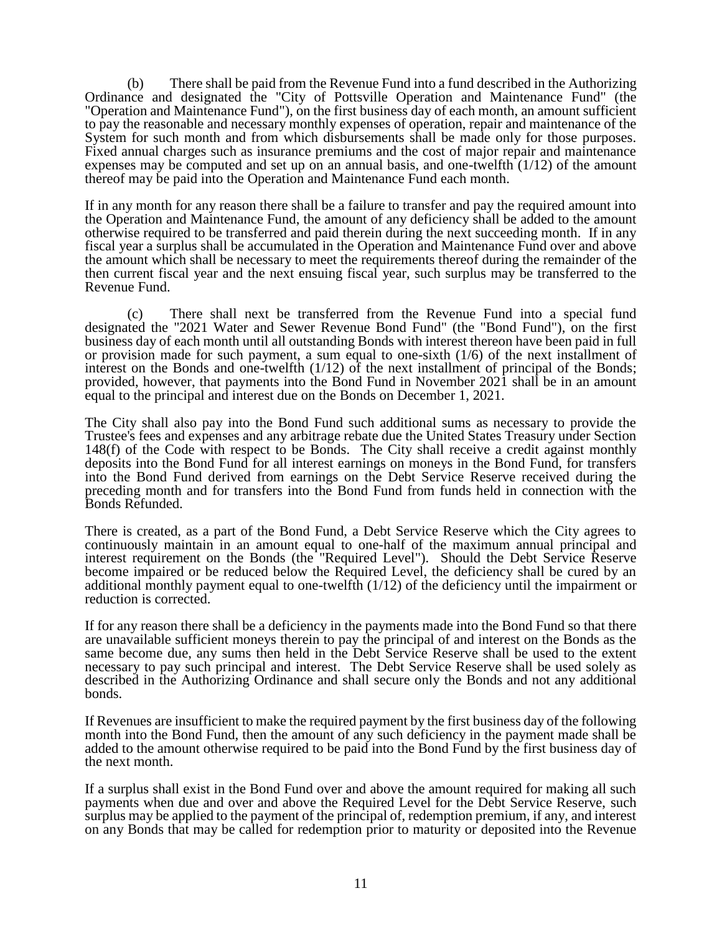(b) There shall be paid from the Revenue Fund into a fund described in the Authorizing Ordinance and designated the "City of Pottsville Operation and Maintenance Fund" (the "Operation and Maintenance Fund"), on the first business day of each month, an amount sufficient to pay the reasonable and necessary monthly expenses of operation, repair and maintenance of the System for such month and from which disbursements shall be made only for those purposes. Fixed annual charges such as insurance premiums and the cost of major repair and maintenance expenses may be computed and set up on an annual basis, and one-twelfth (1/12) of the amount thereof may be paid into the Operation and Maintenance Fund each month.

If in any month for any reason there shall be a failure to transfer and pay the required amount into the Operation and Maintenance Fund, the amount of any deficiency shall be added to the amount otherwise required to be transferred and paid therein during the next succeeding month. If in any fiscal year a surplus shall be accumulated in the Operation and Maintenance Fund over and above the amount which shall be necessary to meet the requirements thereof during the remainder of the then current fiscal year and the next ensuing fiscal year, such surplus may be transferred to the Revenue Fund.

(c) There shall next be transferred from the Revenue Fund into a special fund designated the "2021 Water and Sewer Revenue Bond Fund" (the "Bond Fund"), on the first business day of each month until all outstanding Bonds with interest thereon have been paid in full or provision made for such payment, a sum equal to one-sixth  $(1/6)$  of the next installment of interest on the Bonds and one-twelfth (1/12) of the next installment of principal of the Bonds; provided, however, that payments into the Bond Fund in November 2021 shall be in an amount equal to the principal and interest due on the Bonds on December 1, 2021.

The City shall also pay into the Bond Fund such additional sums as necessary to provide the Trustee's fees and expenses and any arbitrage rebate due the United States Treasury under Section 148(f) of the Code with respect to be Bonds. The City shall receive a credit against monthly deposits into the Bond Fund for all interest earnings on moneys in the Bond Fund, for transfers into the Bond Fund derived from earnings on the Debt Service Reserve received during the preceding month and for transfers into the Bond Fund from funds held in connection with the Bonds Refunded.

There is created, as a part of the Bond Fund, a Debt Service Reserve which the City agrees to continuously maintain in an amount equal to one-half of the maximum annual principal and interest requirement on the Bonds (the "Required Level"). Should the Debt Service Reserve become impaired or be reduced below the Required Level, the deficiency shall be cured by an additional monthly payment equal to one-twelfth (1/12) of the deficiency until the impairment or reduction is corrected.

If for any reason there shall be a deficiency in the payments made into the Bond Fund so that there are unavailable sufficient moneys therein to pay the principal of and interest on the Bonds as the same become due, any sums then held in the Debt Service Reserve shall be used to the extent necessary to pay such principal and interest. The Debt Service Reserve shall be used solely as described in the Authorizing Ordinance and shall secure only the Bonds and not any additional bonds.

If Revenues are insufficient to make the required payment by the first business day of the following month into the Bond Fund, then the amount of any such deficiency in the payment made shall be added to the amount otherwise required to be paid into the Bond Fund by the first business day of the next month.

If a surplus shall exist in the Bond Fund over and above the amount required for making all such payments when due and over and above the Required Level for the Debt Service Reserve, such surplus may be applied to the payment of the principal of, redemption premium, if any, and interest on any Bonds that may be called for redemption prior to maturity or deposited into the Revenue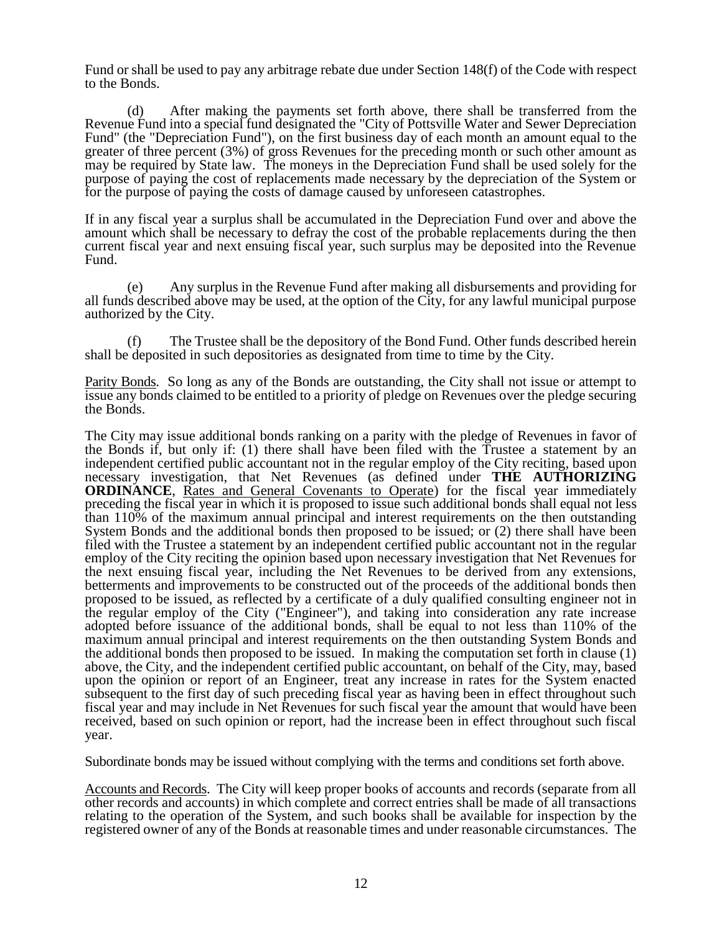Fund or shall be used to pay any arbitrage rebate due under Section 148(f) of the Code with respect to the Bonds.

(d) After making the payments set forth above, there shall be transferred from the Revenue Fund into a special fund designated the "City of Pottsville Water and Sewer Depreciation Fund" (the "Depreciation Fund"), on the first business day of each month an amount equal to the greater of three percent (3%) of gross Revenues for the preceding month or such other amount as may be required by State law. The moneys in the Depreciation Fund shall be used solely for the purpose of paying the cost of replacements made necessary by the depreciation of the System or for the purpose of paying the costs of damage caused by unforeseen catastrophes.

If in any fiscal year a surplus shall be accumulated in the Depreciation Fund over and above the amount which shall be necessary to defray the cost of the probable replacements during the then current fiscal year and next ensuing fiscal year, such surplus may be deposited into the Revenue Fund.

(e) Any surplus in the Revenue Fund after making all disbursements and providing for all funds described above may be used, at the option of the City, for any lawful municipal purpose authorized by the City.

(f) The Trustee shall be the depository of the Bond Fund. Other funds described herein shall be deposited in such depositories as designated from time to time by the City.

Parity Bonds. So long as any of the Bonds are outstanding, the City shall not issue or attempt to issue any bonds claimed to be entitled to a priority of pledge on Revenues over the pledge securing the Bonds.

The City may issue additional bonds ranking on a parity with the pledge of Revenues in favor of the Bonds if, but only if: (1) there shall have been filed with the Trustee a statement by an independent certified public accountant not in the regular employ of the City reciting, based upon necessary investigation, that Net Revenues (as defined under **THE AUTHORIZING ORDINANCE**, Rates and General Covenants to Operate) for the fiscal year immediately preceding the fiscal year in which it is proposed to issue such additional bonds shall equal not less than 110% of the maximum annual principal and interest requirements on the then outstanding System Bonds and the additional bonds then proposed to be issued; or (2) there shall have been filed with the Trustee a statement by an independent certified public accountant not in the regular employ of the City reciting the opinion based upon necessary investigation that Net Revenues for the next ensuing fiscal year, including the Net Revenues to be derived from any extensions, betterments and improvements to be constructed out of the proceeds of the additional bonds then proposed to be issued, as reflected by a certificate of a duly qualified consulting engineer not in the regular employ of the City ("Engineer"), and taking into consideration any rate increase adopted before issuance of the additional bonds, shall be equal to not less than 110% of the maximum annual principal and interest requirements on the then outstanding System Bonds and the additional bonds then proposed to be issued. In making the computation set forth in clause (1) above, the City, and the independent certified public accountant, on behalf of the City, may, based upon the opinion or report of an Engineer, treat any increase in rates for the System enacted subsequent to the first day of such preceding fiscal year as having been in effect throughout such fiscal year and may include in Net Revenues for such fiscal year the amount that would have been received, based on such opinion or report, had the increase been in effect throughout such fiscal year.

Subordinate bonds may be issued without complying with the terms and conditions set forth above.

Accounts and Records. The City will keep proper books of accounts and records (separate from all other records and accounts) in which complete and correct entries shall be made of all transactions relating to the operation of the System, and such books shall be available for inspection by the registered owner of any of the Bonds at reasonable times and under reasonable circumstances. The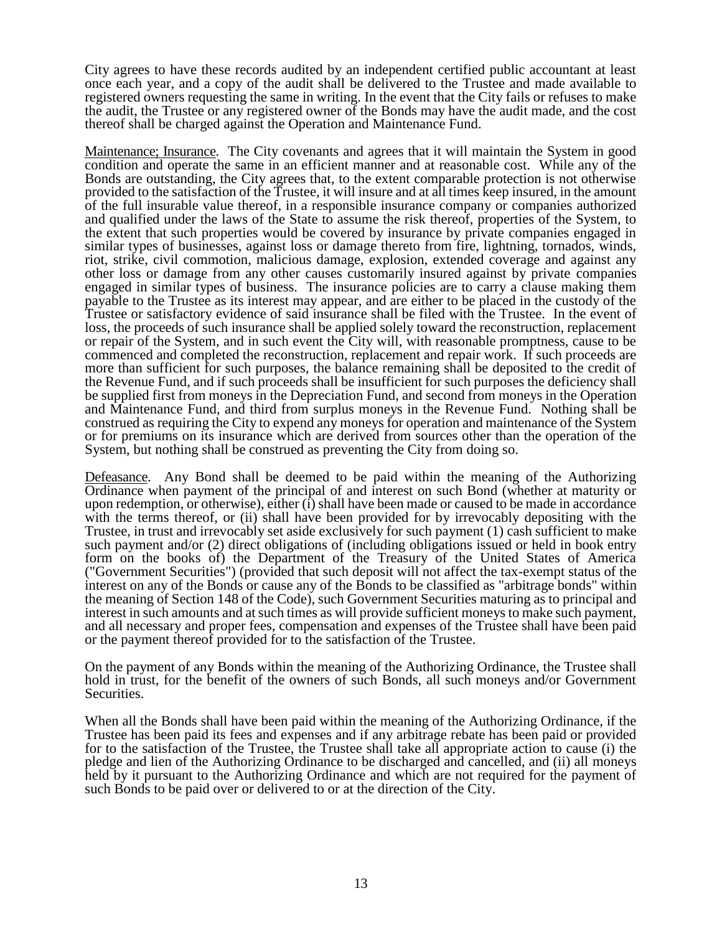City agrees to have these records audited by an independent certified public accountant at least once each year, and a copy of the audit shall be delivered to the Trustee and made available to registered owners requesting the same in writing. In the event that the City fails or refuses to make the audit, the Trustee or any registered owner of the Bonds may have the audit made, and the cost thereof shall be charged against the Operation and Maintenance Fund.

Maintenance; Insurance. The City covenants and agrees that it will maintain the System in good condition and operate the same in an efficient manner and at reasonable cost. While any of the Bonds are outstanding, the City agrees that, to the extent comparable protection is not otherwise provided to the satisfaction of the Trustee, it will insure and at all times keep insured, in the amount of the full insurable value thereof, in a responsible insurance company or companies authorized and qualified under the laws of the State to assume the risk thereof, properties of the System, to the extent that such properties would be covered by insurance by private companies engaged in similar types of businesses, against loss or damage thereto from fire, lightning, tornados, winds, riot, strike, civil commotion, malicious damage, explosion, extended coverage and against any other loss or damage from any other causes customarily insured against by private companies engaged in similar types of business. The insurance policies are to carry a clause making them payable to the Trustee as its interest may appear, and are either to be placed in the custody of the Trustee or satisfactory evidence of said insurance shall be filed with the Trustee. In the event of loss, the proceeds of such insurance shall be applied solely toward the reconstruction, replacement or repair of the System, and in such event the City will, with reasonable promptness, cause to be commenced and completed the reconstruction, replacement and repair work. If such proceeds are more than sufficient for such purposes, the balance remaining shall be deposited to the credit of the Revenue Fund, and if such proceeds shall be insufficient for such purposes the deficiency shall be supplied first from moneys in the Depreciation Fund, and second from moneys in the Operation and Maintenance Fund, and third from surplus moneys in the Revenue Fund. Nothing shall be construed as requiring the City to expend any moneys for operation and maintenance of the System or for premiums on its insurance which are derived from sources other than the operation of the System, but nothing shall be construed as preventing the City from doing so.

Defeasance. Any Bond shall be deemed to be paid within the meaning of the Authorizing Ordinance when payment of the principal of and interest on such Bond (whether at maturity or upon redemption, or otherwise), either (i) shall have been made or caused to be made in accordance with the terms thereof, or (ii) shall have been provided for by irrevocably depositing with the Trustee, in trust and irrevocably set aside exclusively for such payment (1) cash sufficient to make such payment and/or (2) direct obligations of (including obligations issued or held in book entry form on the books of) the Department of the Treasury of the United States of America ("Government Securities") (provided that such deposit will not affect the tax-exempt status of the interest on any of the Bonds or cause any of the Bonds to be classified as "arbitrage bonds" within the meaning of Section 148 of the Code), such Government Securities maturing as to principal and interest in such amounts and at such times as will provide sufficient moneys to make such payment, and all necessary and proper fees, compensation and expenses of the Trustee shall have been paid or the payment thereof provided for to the satisfaction of the Trustee.

On the payment of any Bonds within the meaning of the Authorizing Ordinance, the Trustee shall hold in trust, for the benefit of the owners of such Bonds, all such moneys and/or Government Securities.

When all the Bonds shall have been paid within the meaning of the Authorizing Ordinance, if the Trustee has been paid its fees and expenses and if any arbitrage rebate has been paid or provided for to the satisfaction of the Trustee, the Trustee shall take all appropriate action to cause (i) the pledge and lien of the Authorizing Ordinance to be discharged and cancelled, and (ii) all moneys held by it pursuant to the Authorizing Ordinance and which are not required for the payment of such Bonds to be paid over or delivered to or at the direction of the City.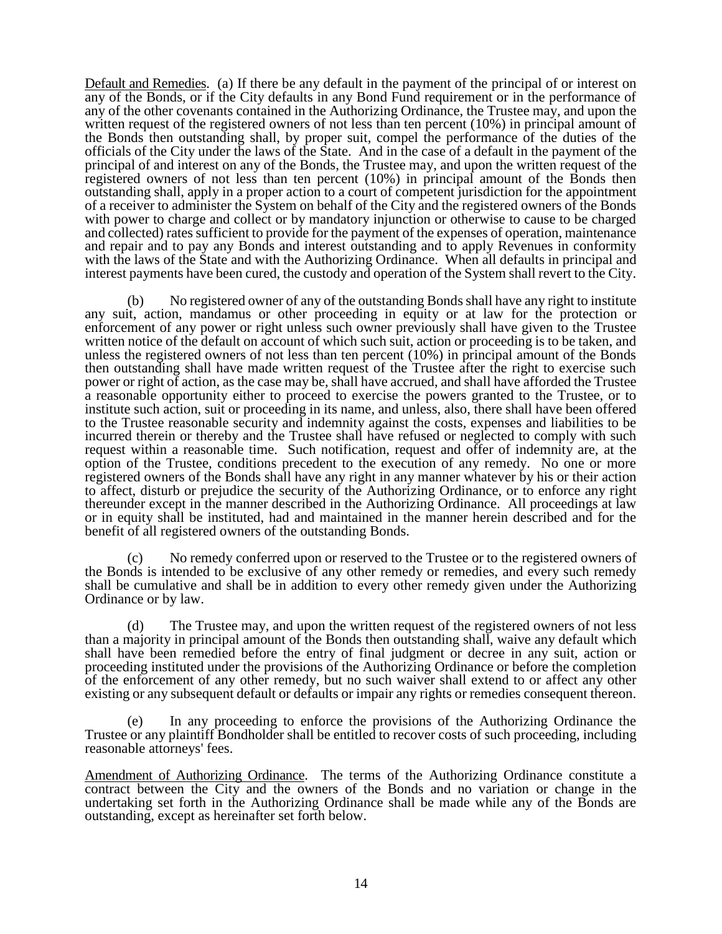Default and Remedies. (a) If there be any default in the payment of the principal of or interest on any of the Bonds, or if the City defaults in any Bond Fund requirement or in the performance of any of the other covenants contained in the Authorizing Ordinance, the Trustee may, and upon the written request of the registered owners of not less than ten percent (10%) in principal amount of the Bonds then outstanding shall, by proper suit, compel the performance of the duties of the officials of the City under the laws of the State. And in the case of a default in the payment of the principal of and interest on any of the Bonds, the Trustee may, and upon the written request of the registered owners of not less than ten percent (10%) in principal amount of the Bonds then outstanding shall, apply in a proper action to a court of competent jurisdiction for the appointment of a receiver to administer the System on behalf of the City and the registered owners of the Bonds with power to charge and collect or by mandatory injunction or otherwise to cause to be charged and collected) rates sufficient to provide for the payment of the expenses of operation, maintenance and repair and to pay any Bonds and interest outstanding and to apply Revenues in conformity with the laws of the State and with the Authorizing Ordinance. When all defaults in principal and interest payments have been cured, the custody and operation of the System shall revert to the City.

(b) No registered owner of any of the outstanding Bonds shall have any right to institute any suit, action, mandamus or other proceeding in equity or at law for the protection or enforcement of any power or right unless such owner previously shall have given to the Trustee written notice of the default on account of which such suit, action or proceeding is to be taken, and unless the registered owners of not less than ten percent (10%) in principal amount of the Bonds then outstanding shall have made written request of the Trustee after the right to exercise such power or right of action, as the case may be, shall have accrued, and shall have afforded the Trustee a reasonable opportunity either to proceed to exercise the powers granted to the Trustee, or to institute such action, suit or proceeding in its name, and unless, also, there shall have been offered to the Trustee reasonable security and indemnity against the costs, expenses and liabilities to be incurred therein or thereby and the Trustee shall have refused or neglected to comply with such request within a reasonable time. Such notification, request and offer of indemnity are, at the option of the Trustee, conditions precedent to the execution of any remedy. No one or more registered owners of the Bonds shall have any right in any manner whatever by his or their action to affect, disturb or prejudice the security of the Authorizing Ordinance, or to enforce any right thereunder except in the manner described in the Authorizing Ordinance. All proceedings at law or in equity shall be instituted, had and maintained in the manner herein described and for the benefit of all registered owners of the outstanding Bonds.

(c) No remedy conferred upon or reserved to the Trustee or to the registered owners of the Bonds is intended to be exclusive of any other remedy or remedies, and every such remedy shall be cumulative and shall be in addition to every other remedy given under the Authorizing Ordinance or by law.

(d) The Trustee may, and upon the written request of the registered owners of not less than a majority in principal amount of the Bonds then outstanding shall, waive any default which shall have been remedied before the entry of final judgment or decree in any suit, action or proceeding instituted under the provisions of the Authorizing Ordinance or before the completion of the enforcement of any other remedy, but no such waiver shall extend to or affect any other existing or any subsequent default or defaults or impair any rights or remedies consequent thereon.

In any proceeding to enforce the provisions of the Authorizing Ordinance the Trustee or any plaintiff Bondholder shall be entitled to recover costs of such proceeding, including reasonable attorneys' fees.

Amendment of Authorizing Ordinance. The terms of the Authorizing Ordinance constitute a contract between the City and the owners of the Bonds and no variation or change in the undertaking set forth in the Authorizing Ordinance shall be made while any of the Bonds are outstanding, except as hereinafter set forth below.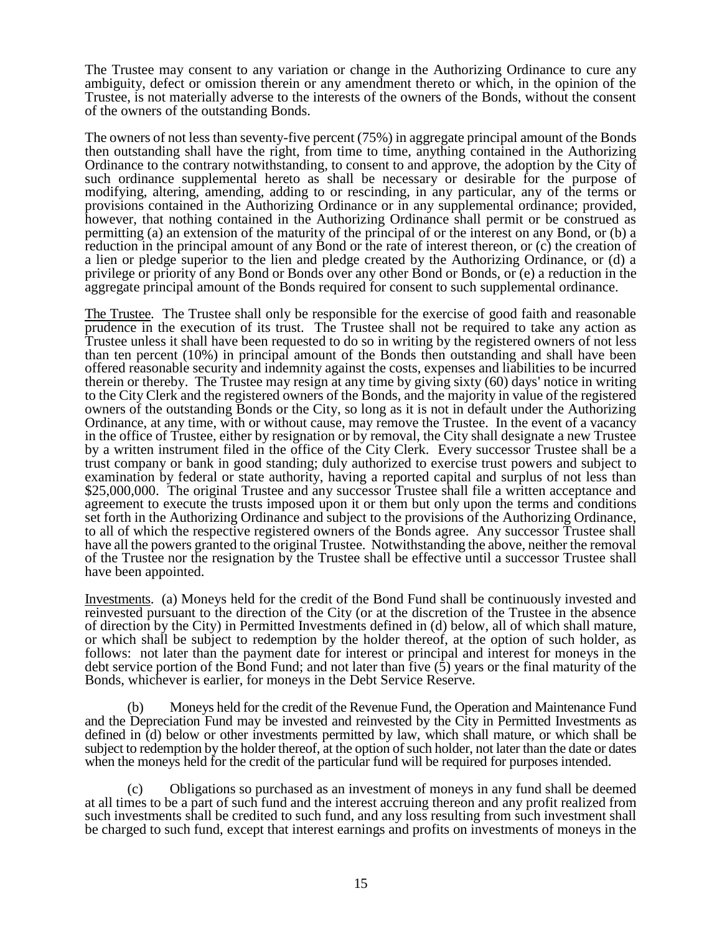The Trustee may consent to any variation or change in the Authorizing Ordinance to cure any ambiguity, defect or omission therein or any amendment thereto or which, in the opinion of the Trustee, is not materially adverse to the interests of the owners of the Bonds, without the consent of the owners of the outstanding Bonds.

The owners of not less than seventy-five percent (75%) in aggregate principal amount of the Bonds then outstanding shall have the right, from time to time, anything contained in the Authorizing Ordinance to the contrary notwithstanding, to consent to and approve, the adoption by the City of such ordinance supplemental hereto as shall be necessary or desirable for the purpose of modifying, altering, amending, adding to or rescinding, in any particular, any of the terms or provisions contained in the Authorizing Ordinance or in any supplemental ordinance; provided, however, that nothing contained in the Authorizing Ordinance shall permit or be construed as permitting (a) an extension of the maturity of the principal of or the interest on any Bond, or (b) a reduction in the principal amount of any Bond or the rate of interest thereon, or (c) the creation of a lien or pledge superior to the lien and pledge created by the Authorizing Ordinance, or (d) a privilege or priority of any Bond or Bonds over any other Bond or Bonds, or (e) a reduction in the aggregate principal amount of the Bonds required for consent to such supplemental ordinance.

The Trustee. The Trustee shall only be responsible for the exercise of good faith and reasonable prudence in the execution of its trust. The Trustee shall not be required to take any action as Trustee unless it shall have been requested to do so in writing by the registered owners of not less than ten percent (10%) in principal amount of the Bonds then outstanding and shall have been offered reasonable security and indemnity against the costs, expenses and liabilities to be incurred therein or thereby. The Trustee may resign at any time by giving sixty (60) days' notice in writing to the City Clerk and the registered owners of the Bonds, and the majority in value of the registered owners of the outstanding Bonds or the City, so long as it is not in default under the Authorizing Ordinance, at any time, with or without cause, may remove the Trustee. In the event of a vacancy in the office of Trustee, either by resignation or by removal, the City shall designate a new Trustee by a written instrument filed in the office of the City Clerk. Every successor Trustee shall be a trust company or bank in good standing; duly authorized to exercise trust powers and subject to examination by federal or state authority, having a reported capital and surplus of not less than \$25,000,000. The original Trustee and any successor Trustee shall file a written acceptance and agreement to execute the trusts imposed upon it or them but only upon the terms and conditions set forth in the Authorizing Ordinance and subject to the provisions of the Authorizing Ordinance, to all of which the respective registered owners of the Bonds agree. Any successor Trustee shall have all the powers granted to the original Trustee. Notwithstanding the above, neither the removal of the Trustee nor the resignation by the Trustee shall be effective until a successor Trustee shall have been appointed.

Investments. (a) Moneys held for the credit of the Bond Fund shall be continuously invested and reinvested pursuant to the direction of the City (or at the discretion of the Trustee in the absence of direction by the City) in Permitted Investments defined in (d) below, all of which shall mature, or which shall be subject to redemption by the holder thereof, at the option of such holder, as follows: not later than the payment date for interest or principal and interest for moneys in the debt service portion of the Bond Fund; and not later than five (5) years or the final maturity of the Bonds, whichever is earlier, for moneys in the Debt Service Reserve.

(b) Moneys held for the credit of the Revenue Fund, the Operation and Maintenance Fund and the Depreciation Fund may be invested and reinvested by the City in Permitted Investments as defined in (d) below or other investments permitted by law, which shall mature, or which shall be subject to redemption by the holder thereof, at the option of such holder, not later than the date or dates when the moneys held for the credit of the particular fund will be required for purposes intended.

(c) Obligations so purchased as an investment of moneys in any fund shall be deemed at all times to be a part of such fund and the interest accruing thereon and any profit realized from such investments shall be credited to such fund, and any loss resulting from such investment shall be charged to such fund, except that interest earnings and profits on investments of moneys in the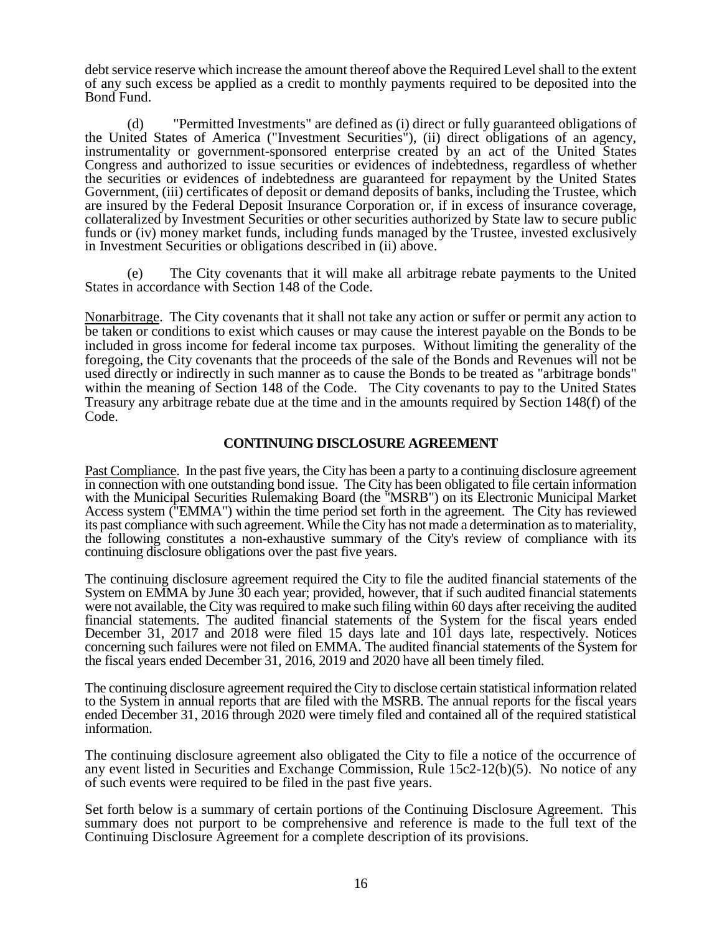debt service reserve which increase the amount thereof above the Required Level shall to the extent of any such excess be applied as a credit to monthly payments required to be deposited into the Bond Fund.

(d) "Permitted Investments" are defined as (i) direct or fully guaranteed obligations of the United States of America ("Investment Securities"), (ii) direct obligations of an agency, instrumentality or government-sponsored enterprise created by an act of the United States Congress and authorized to issue securities or evidences of indebtedness, regardless of whether the securities or evidences of indebtedness are guaranteed for repayment by the United States Government, (iii) certificates of deposit or demand deposits of banks, including the Trustee, which are insured by the Federal Deposit Insurance Corporation or, if in excess of insurance coverage, collateralized by Investment Securities or other securities authorized by State law to secure public funds or (iv) money market funds, including funds managed by the Trustee, invested exclusively in Investment Securities or obligations described in (ii) above.

(e) The City covenants that it will make all arbitrage rebate payments to the United States in accordance with Section 148 of the Code.

Nonarbitrage. The City covenants that it shall not take any action or suffer or permit any action to be taken or conditions to exist which causes or may cause the interest payable on the Bonds to be included in gross income for federal income tax purposes. Without limiting the generality of the foregoing, the City covenants that the proceeds of the sale of the Bonds and Revenues will not be used directly or indirectly in such manner as to cause the Bonds to be treated as "arbitrage bonds" within the meaning of Section 148 of the Code. The City covenants to pay to the United States Treasury any arbitrage rebate due at the time and in the amounts required by Section 148(f) of the Code.

# **CONTINUING DISCLOSURE AGREEMENT**

Past Compliance. In the past five years, the City has been a party to a continuing disclosure agreement in connection with one outstanding bond issue. The City has been obligated to file certain information with the Municipal Securities Rulemaking Board (the "MSRB") on its Electronic Municipal Market Access system ("EMMA") within the time period set forth in the agreement. The City has reviewed its past compliance with such agreement. While the City has not made a determination as to materiality, the following constitutes a non-exhaustive summary of the City's review of compliance with its continuing disclosure obligations over the past five years.

The continuing disclosure agreement required the City to file the audited financial statements of the System on EMMA by June 30 each year; provided, however, that if such audited financial statements were not available, the City was required to make such filing within 60 days after receiving the audited financial statements. The audited financial statements of the System for the fiscal years ended December 31, 2017 and 2018 were filed 15 days late and 101 days late, respectively. Notices concerning such failures were not filed on EMMA. The audited financial statements of the System for the fiscal years ended December 31, 2016, 2019 and 2020 have all been timely filed.

The continuing disclosure agreement required the City to disclose certain statistical information related to the System in annual reports that are filed with the MSRB. The annual reports for the fiscal years ended December 31, 2016 through 2020 were timely filed and contained all of the required statistical information.

The continuing disclosure agreement also obligated the City to file a notice of the occurrence of any event listed in Securities and Exchange Commission, Rule 15c2-12(b)(5). No notice of any of such events were required to be filed in the past five years.

Set forth below is a summary of certain portions of the Continuing Disclosure Agreement. This summary does not purport to be comprehensive and reference is made to the full text of the Continuing Disclosure Agreement for a complete description of its provisions.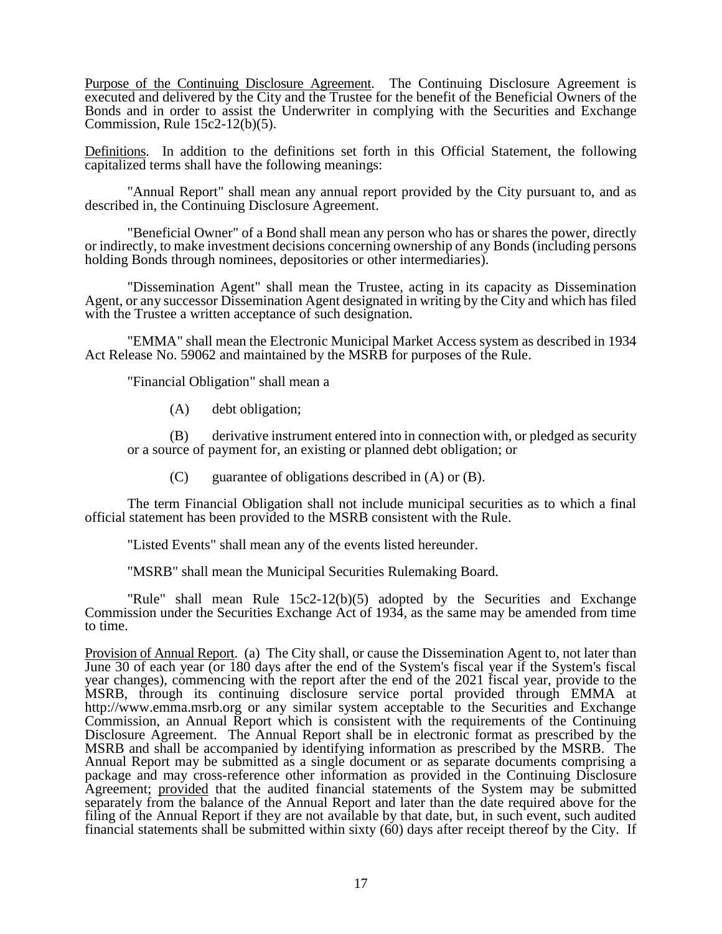Purpose of the Continuing Disclosure Agreement. The Continuing Disclosure Agreement is executed and delivered by the City and the Trustee for the benefit of the Beneficial Owners of the Bonds and in order to assist the Underwriter in complying with the Securities and Exchange Commission, Rule 15c2-12(b)(5).

Definitions. In addition to the definitions set forth in this Official Statement, the following capitalized terms shall have the following meanings:

"Annual Report" shall mean any annual report provided by the City pursuant to, and as described in, the Continuing Disclosure Agreement.

"Beneficial Owner" of a Bond shall mean any person who has or shares the power, directly or indirectly, to make investment decisions concerning ownership of any Bonds (including persons holding Bonds through nominees, depositories or other intermediaries).

"Dissemination Agent" shall mean the Trustee, acting in its capacity as Dissemination Agent, or any successor Dissemination Agent designated in writing by the City and which has filed with the Trustee a written acceptance of such designation.

"EMMA" shall mean the Electronic Municipal Market Access system as described in 1934 Act Release No. 59062 and maintained by the MSRB for purposes of the Rule.

"Financial Obligation" shall mean a

(A) debt obligation;

(B) derivative instrument entered into in connection with, or pledged as security or a source of payment for, an existing or planned debt obligation; or

(C) guarantee of obligations described in (A) or (B).

The term Financial Obligation shall not include municipal securities as to which a final official statement has been provided to the MSRB consistent with the Rule.

"Listed Events" shall mean any of the events listed hereunder.

"MSRB" shall mean the Municipal Securities Rulemaking Board.

"Rule" shall mean Rule 15c2-12(b)(5) adopted by the Securities and Exchange Commission under the Securities Exchange Act of 1934, as the same may be amended from time to time.

Provision of Annual Report. (a) The City shall, or cause the Dissemination Agent to, not later than June 30 of each year (or 180 days after the end of the System's fiscal year if the System's fiscal year changes), commencing with the report after the end of the 2021 fiscal year, provide to the MSRB, through its continuing disclosure service portal provided through EMMA at http://www.emma.msrb.org or any similar system acceptable to the Securities and Exchange Commission, an Annual Report which is consistent with the requirements of the Continuing Disclosure Agreement. The Annual Report shall be in electronic format as prescribed by the MSRB and shall be accompanied by identifying information as prescribed by the MSRB. The Annual Report may be submitted as a single document or as separate documents comprising a package and may cross-reference other information as provided in the Continuing Disclosure Agreement; provided that the audited financial statements of the System may be submitted separately from the balance of the Annual Report and later than the date required above for the filing of the Annual Report if they are not available by that date, but, in such event, such audited financial statements shall be submitted within sixty (60) days after receipt thereof by the City. If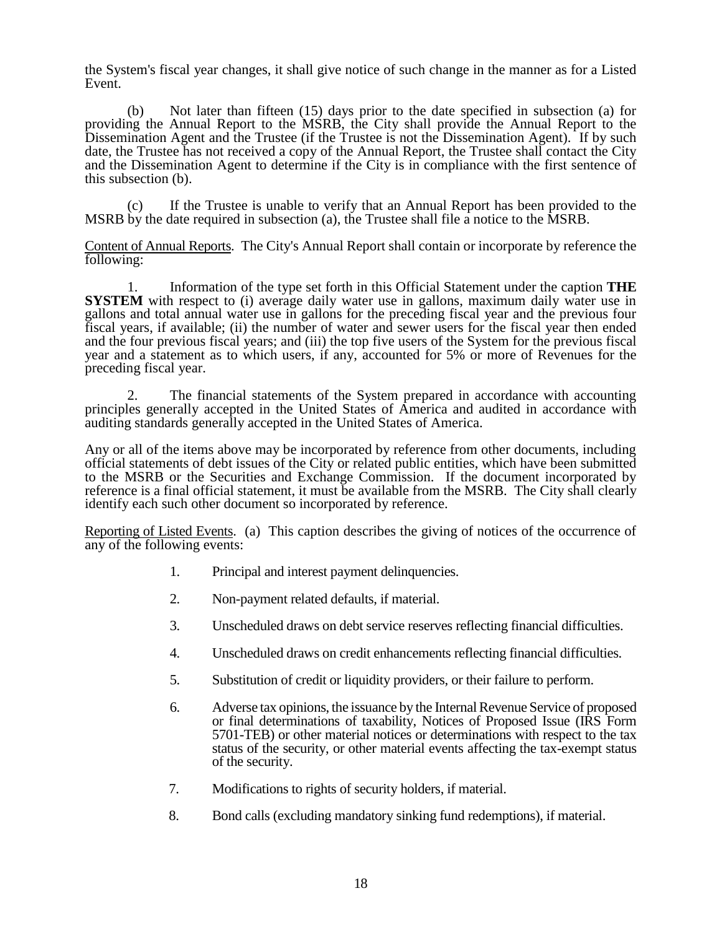the System's fiscal year changes, it shall give notice of such change in the manner as for a Listed Event.

(b) Not later than fifteen (15) days prior to the date specified in subsection (a) for providing the Annual Report to the MSRB, the City shall provide the Annual Report to the Dissemination Agent and the Trustee (if the Trustee is not the Dissemination Agent). If by such date, the Trustee has not received a copy of the Annual Report, the Trustee shall contact the City and the Dissemination Agent to determine if the City is in compliance with the first sentence of this subsection (b).

(c) If the Trustee is unable to verify that an Annual Report has been provided to the MSRB by the date required in subsection (a), the Trustee shall file a notice to the MSRB.

Content of Annual Reports. The City's Annual Report shall contain or incorporate by reference the following:

1. Information of the type set forth in this Official Statement under the caption **THE SYSTEM** with respect to (i) average daily water use in gallons, maximum daily water use in gallons and total annual water use in gallons for the preceding fiscal year and the previous four fiscal years, if available; (ii) the number of water and sewer users for the fiscal year then ended and the four previous fiscal years; and (iii) the top five users of the System for the previous fiscal year and a statement as to which users, if any, accounted for 5% or more of Revenues for the preceding fiscal year.

The financial statements of the System prepared in accordance with accounting principles generally accepted in the United States of America and audited in accordance with auditing standards generally accepted in the United States of America.

Any or all of the items above may be incorporated by reference from other documents, including official statements of debt issues of the City or related public entities, which have been submitted to the MSRB or the Securities and Exchange Commission. If the document incorporated by reference is a final official statement, it must be available from the MSRB. The City shall clearly identify each such other document so incorporated by reference.

Reporting of Listed Events. (a) This caption describes the giving of notices of the occurrence of any of the following events:

- 1. Principal and interest payment delinquencies.
- 2. Non-payment related defaults, if material.
- 3. Unscheduled draws on debt service reserves reflecting financial difficulties.
- 4. Unscheduled draws on credit enhancements reflecting financial difficulties.
- 5. Substitution of credit or liquidity providers, or their failure to perform.
- 6. Adverse tax opinions, the issuance by the Internal Revenue Service of proposed or final determinations of taxability, Notices of Proposed Issue (IRS Form 5701-TEB) or other material notices or determinations with respect to the tax status of the security, or other material events affecting the tax-exempt status of the security.
- 7. Modifications to rights of security holders, if material.
- 8. Bond calls (excluding mandatory sinking fund redemptions), if material.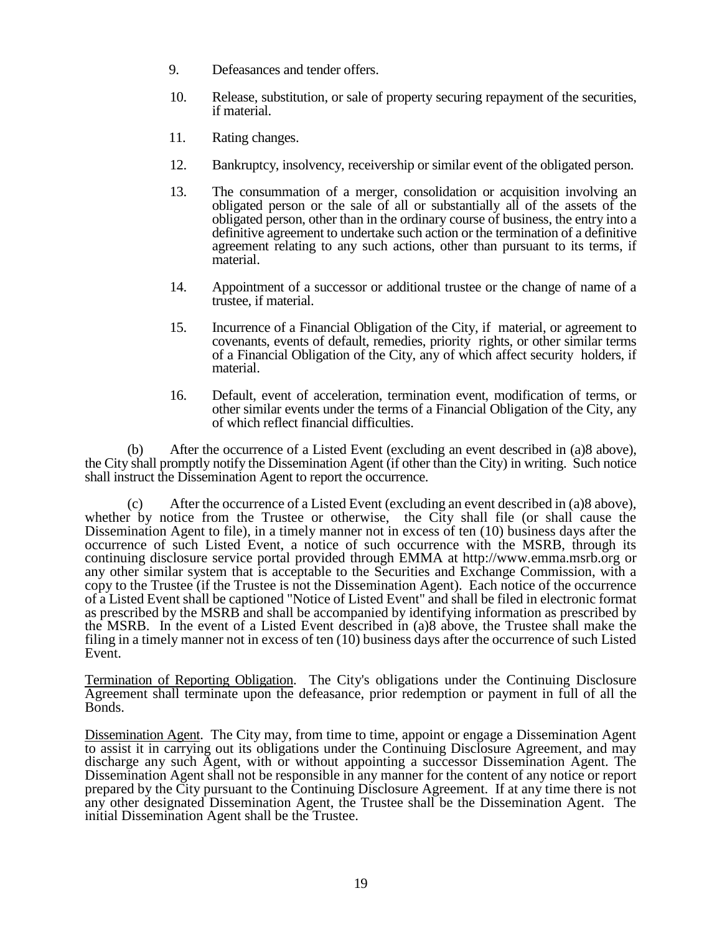- 9. Defeasances and tender offers.
- 10. Release, substitution, or sale of property securing repayment of the securities, if material.
- 11. Rating changes.
- 12. Bankruptcy, insolvency, receivership or similar event of the obligated person.
- 13. The consummation of a merger, consolidation or acquisition involving an obligated person or the sale of all or substantially all of the assets of the obligated person, other than in the ordinary course of business, the entry into a definitive agreement to undertake such action or the termination of a definitive agreement relating to any such actions, other than pursuant to its terms, if material.
- 14. Appointment of a successor or additional trustee or the change of name of a trustee, if material.
- 15. Incurrence of a Financial Obligation of the City, if material, or agreement to covenants, events of default, remedies, priority rights, or other similar terms of a Financial Obligation of the City, any of which affect security holders, if material.
- 16. Default, event of acceleration, termination event, modification of terms, or other similar events under the terms of a Financial Obligation of the City, any of which reflect financial difficulties.

(b) After the occurrence of a Listed Event (excluding an event described in (a)8 above), the City shall promptly notify the Dissemination Agent (if other than the City) in writing. Such notice shall instruct the Dissemination Agent to report the occurrence.

(c) After the occurrence of a Listed Event (excluding an event described in (a)8 above), whether by notice from the Trustee or otherwise, the City shall file (or shall cause the Dissemination Agent to file), in a timely manner not in excess of ten (10) business days after the occurrence of such Listed Event, a notice of such occurrence with the MSRB, through its continuing disclosure service portal provided through EMMA at http://www.emma.msrb.org or any other similar system that is acceptable to the Securities and Exchange Commission, with a copy to the Trustee (if the Trustee is not the Dissemination Agent). Each notice of the occurrence of a Listed Event shall be captioned "Notice of Listed Event" and shall be filed in electronic format as prescribed by the MSRB and shall be accompanied by identifying information as prescribed by the MSRB. In the event of a Listed Event described in (a)8 above, the Trustee shall make the filing in a timely manner not in excess of ten (10) business days after the occurrence of such Listed Event.

Termination of Reporting Obligation. The City's obligations under the Continuing Disclosure Agreement shall terminate upon the defeasance, prior redemption or payment in full of all the Bonds.

Dissemination Agent. The City may, from time to time, appoint or engage a Dissemination Agent to assist it in carrying out its obligations under the Continuing Disclosure Agreement, and may discharge any such Agent, with or without appointing a successor Dissemination Agent. The Dissemination Agent shall not be responsible in any manner for the content of any notice or report prepared by the City pursuant to the Continuing Disclosure Agreement. If at any time there is not any other designated Dissemination Agent, the Trustee shall be the Dissemination Agent. The initial Dissemination Agent shall be the Trustee.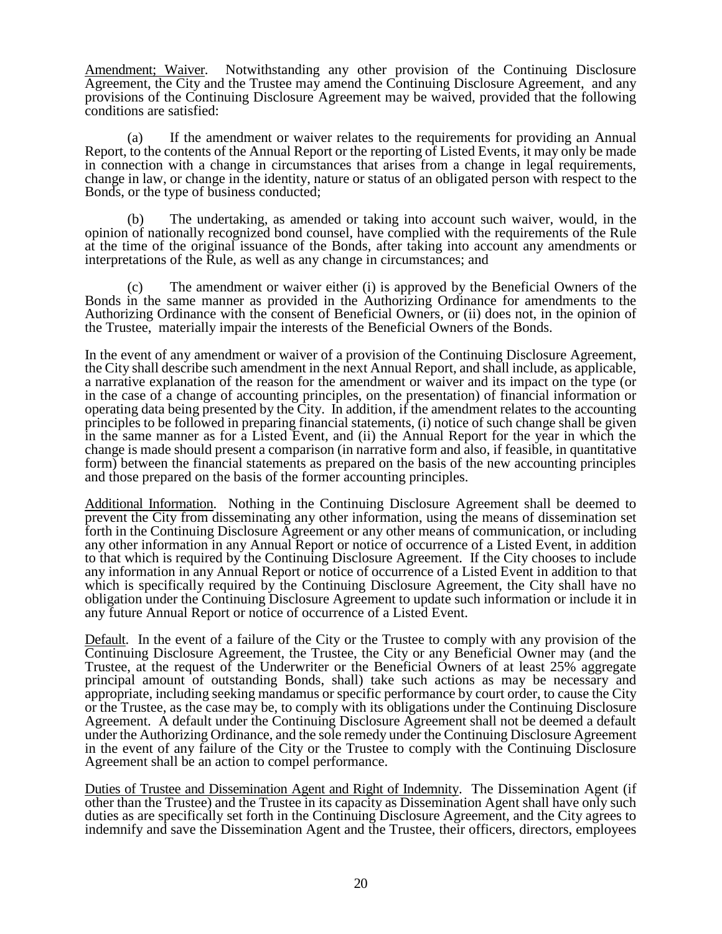Amendment; Waiver. Notwithstanding any other provision of the Continuing Disclosure Agreement, the City and the Trustee may amend the Continuing Disclosure Agreement, and any provisions of the Continuing Disclosure Agreement may be waived, provided that the following conditions are satisfied:

(a) If the amendment or waiver relates to the requirements for providing an Annual Report, to the contents of the Annual Report or the reporting of Listed Events, it may only be made in connection with a change in circumstances that arises from a change in legal requirements, change in law, or change in the identity, nature or status of an obligated person with respect to the Bonds, or the type of business conducted;

(b) The undertaking, as amended or taking into account such waiver, would, in the opinion of nationally recognized bond counsel, have complied with the requirements of the Rule at the time of the original issuance of the Bonds, after taking into account any amendments or interpretations of the Rule, as well as any change in circumstances; and

(c) The amendment or waiver either (i) is approved by the Beneficial Owners of the Bonds in the same manner as provided in the Authorizing Ordinance for amendments to the Authorizing Ordinance with the consent of Beneficial Owners, or (ii) does not, in the opinion of the Trustee, materially impair the interests of the Beneficial Owners of the Bonds.

In the event of any amendment or waiver of a provision of the Continuing Disclosure Agreement, the City shall describe such amendment in the next Annual Report, and shall include, as applicable, a narrative explanation of the reason for the amendment or waiver and its impact on the type (or in the case of a change of accounting principles, on the presentation) of financial information or operating data being presented by the City. In addition, if the amendment relates to the accounting principles to be followed in preparing financial statements, (i) notice of such change shall be given in the same manner as for a Listed Event, and (ii) the Annual Report for the year in which the change is made should present a comparison (in narrative form and also, if feasible, in quantitative form) between the financial statements as prepared on the basis of the new accounting principles and those prepared on the basis of the former accounting principles.

Additional Information. Nothing in the Continuing Disclosure Agreement shall be deemed to prevent the City from disseminating any other information, using the means of dissemination set forth in the Continuing Disclosure Agreement or any other means of communication, or including any other information in any Annual Report or notice of occurrence of a Listed Event, in addition to that which is required by the Continuing Disclosure Agreement. If the City chooses to include any information in any Annual Report or notice of occurrence of a Listed Event in addition to that which is specifically required by the Continuing Disclosure Agreement, the City shall have no obligation under the Continuing Disclosure Agreement to update such information or include it in any future Annual Report or notice of occurrence of a Listed Event.

Default. In the event of a failure of the City or the Trustee to comply with any provision of the Continuing Disclosure Agreement, the Trustee, the City or any Beneficial Owner may (and the Trustee, at the request of the Underwriter or the Beneficial Owners of at least 25% aggregate principal amount of outstanding Bonds, shall) take such actions as may be necessary and appropriate, including seeking mandamus or specific performance by court order, to cause the City or the Trustee, as the case may be, to comply with its obligations under the Continuing Disclosure Agreement. A default under the Continuing Disclosure Agreement shall not be deemed a default under the Authorizing Ordinance, and the sole remedy under the Continuing Disclosure Agreement in the event of any failure of the City or the Trustee to comply with the Continuing Disclosure Agreement shall be an action to compel performance.

Duties of Trustee and Dissemination Agent and Right of Indemnity. The Dissemination Agent (if other than the Trustee) and the Trustee in its capacity as Dissemination Agent shall have only such duties as are specifically set forth in the Continuing Disclosure Agreement, and the City agrees to indemnify and save the Dissemination Agent and the Trustee, their officers, directors, employees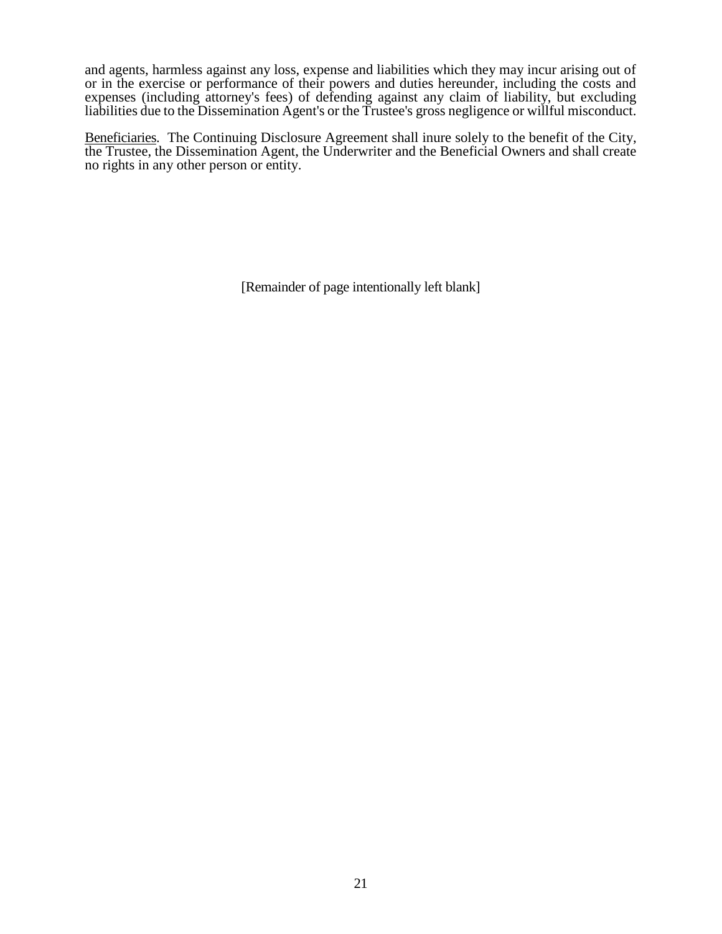and agents, harmless against any loss, expense and liabilities which they may incur arising out of or in the exercise or performance of their powers and duties hereunder, including the costs and expenses (including attorney's fees) of defending against any claim of liability, but excluding liabilities due to the Dissemination Agent's or the Trustee's gross negligence or willful misconduct.

Beneficiaries. The Continuing Disclosure Agreement shall inure solely to the benefit of the City, the Trustee, the Dissemination Agent, the Underwriter and the Beneficial Owners and shall create no rights in any other person or entity.

[Remainder of page intentionally left blank]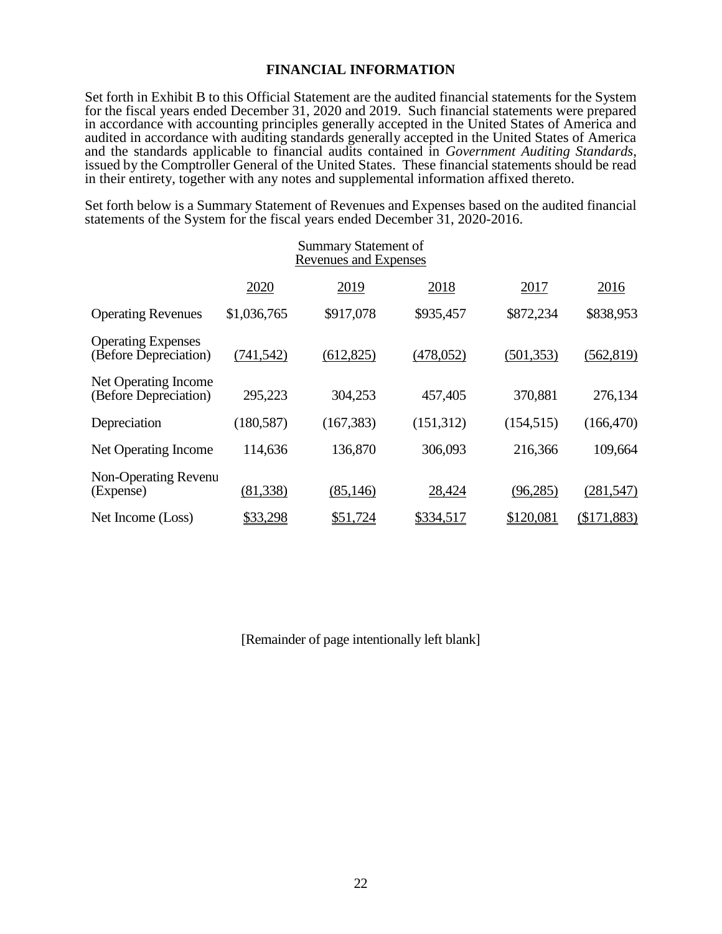# **FINANCIAL INFORMATION**

Set forth in Exhibit B to this Official Statement are the audited financial statements for the System for the fiscal years ended December 31, 2020 and 2019. Such financial statements were prepared in accordance with accounting principles generally accepted in the United States of America and audited in accordance with auditing standards generally accepted in the United States of America and the standards applicable to financial audits contained in *Government Auditing Standards*, issued by the Comptroller General of the United States. These financial statements should be read in their entirety, together with any notes and supplemental information affixed thereto.

Set forth below is a Summary Statement of Revenues and Expenses based on the audited financial statements of the System for the fiscal years ended December 31, 2020-2016.

| <b>Summary Statement of</b><br><b>Revenues and Expenses</b> |             |            |            |            |               |
|-------------------------------------------------------------|-------------|------------|------------|------------|---------------|
|                                                             | 2020        | 2019       | 2018       | 2017       | 2016          |
| <b>Operating Revenues</b>                                   | \$1,036,765 | \$917,078  | \$935,457  | \$872,234  | \$838,953     |
| <b>Operating Expenses</b><br>(Before Depreciation)          | (741, 542)  | (612, 825) | (478, 052) | (501, 353) | (562, 819)    |
| Net Operating Income<br>(Before Depreciation)               | 295,223     | 304,253    | 457,405    | 370,881    | 276,134       |
| Depreciation                                                | (180, 587)  | (167, 383) | (151,312)  | (154, 515) | (166, 470)    |
| Net Operating Income                                        | 114,636     | 136,870    | 306,093    | 216,366    | 109,664       |
| Non-Operating Revenu<br>(Expense)                           | (81, 338)   | (85, 146)  | 28,424     | (96, 285)  | (281, 547)    |
| Net Income (Loss)                                           | \$33,298    | \$51,724   | \$334,517  | \$120,081  | $(\$171,883)$ |

[Remainder of page intentionally left blank]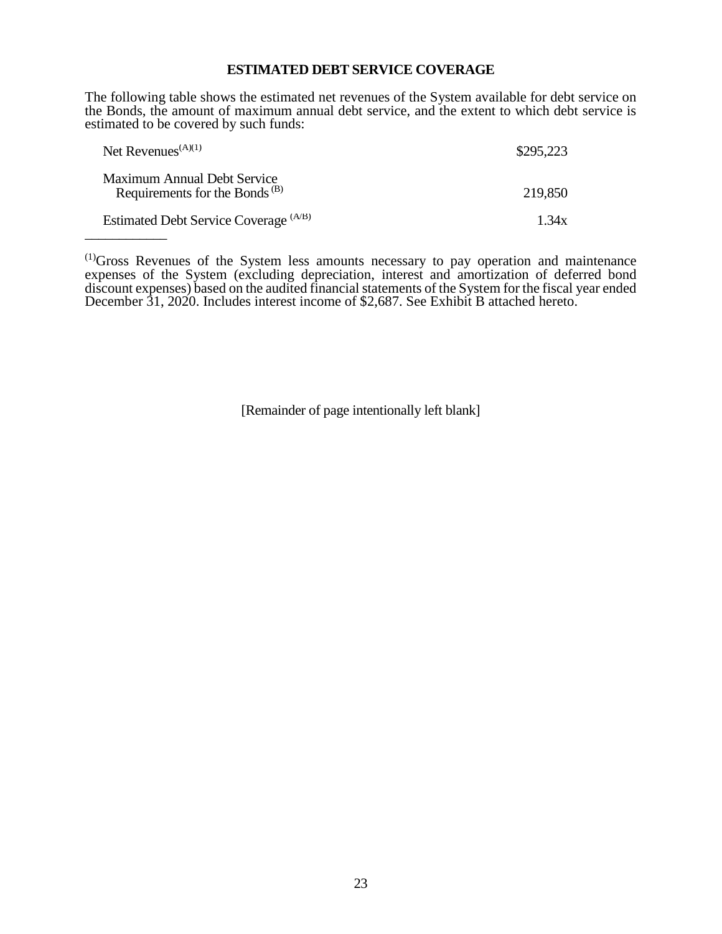#### **ESTIMATED DEBT SERVICE COVERAGE**

The following table shows the estimated net revenues of the System available for debt service on the Bonds, the amount of maximum annual debt service, and the extent to which debt service is estimated to be covered by such funds:

| Net Revenues <sup><math>(A)(1)</math></sup>                              | \$295,223 |
|--------------------------------------------------------------------------|-----------|
| Maximum Annual Debt Service<br>Requirements for the Bonds <sup>(B)</sup> | 219,850   |
| Estimated Debt Service Coverage (A/B)                                    | 1.34x     |

 $<sup>(1)</sup>$ Gross Revenues of the System less amounts necessary to pay operation and maintenance</sup> expenses of the System (excluding depreciation, interest and amortization of deferred bond discount expenses) based on the audited financial statements of the System for the fiscal year ended December 31, 2020. Includes interest income of \$2,687. See Exhibit B attached hereto.

[Remainder of page intentionally left blank]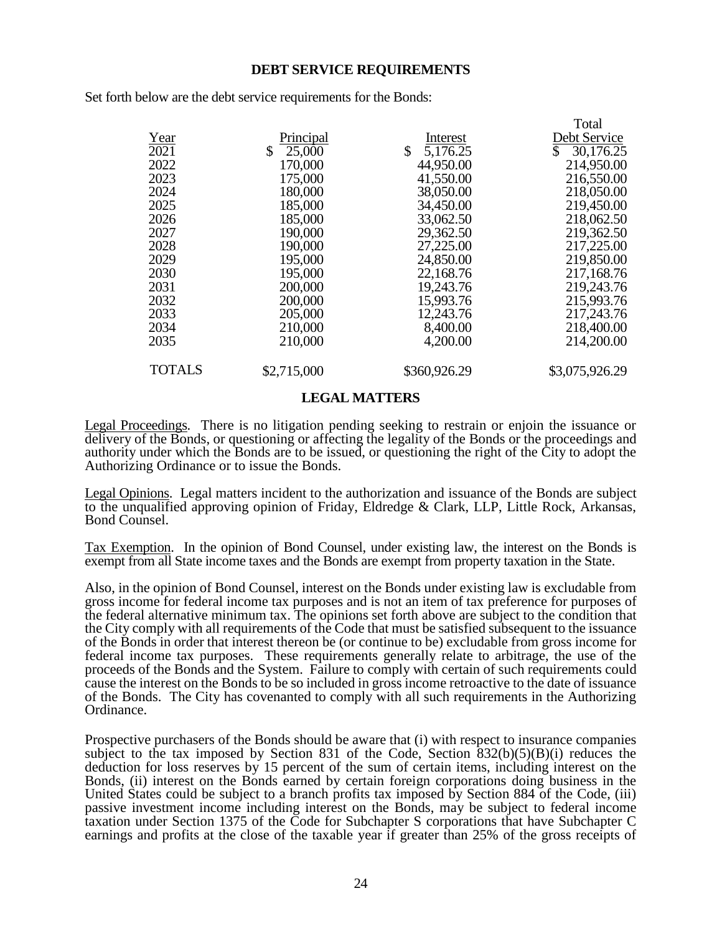#### **DEBT SERVICE REQUIREMENTS**

Set forth below are the debt service requirements for the Bonds:

|                   |             |                          | Total          |
|-------------------|-------------|--------------------------|----------------|
| Year              | Principal   | Interest                 | Debt Service   |
| $\overline{2021}$ | \$25,000    | $\mathbb{S}$<br>5,176.25 | \$30,176.25    |
| 2022              | 170,000     | 44,950.00                | 214,950.00     |
| 2023              | 175,000     | 41,550.00                | 216,550.00     |
| 2024              | 180,000     | 38,050.00                | 218,050.00     |
| 2025              | 185,000     | 34,450.00                | 219,450.00     |
| 2026              | 185,000     | 33,062.50                | 218,062.50     |
| 2027              | 190,000     | 29,362.50                | 219,362.50     |
| 2028              | 190,000     | 27,225.00                | 217,225.00     |
| 2029              | 195,000     | 24,850.00                | 219,850.00     |
| 2030              | 195,000     | 22,168.76                | 217,168.76     |
| 2031              | 200,000     | 19,243.76                | 219,243.76     |
| 2032              | 200,000     | 15,993.76                | 215,993.76     |
| 2033              | 205,000     | 12,243.76                | 217,243.76     |
| 2034              | 210,000     | 8,400.00                 | 218,400.00     |
| 2035              | 210,000     | 4,200.00                 | 214,200.00     |
| <b>TOTALS</b>     | \$2,715,000 | \$360,926.29             | \$3,075,926.29 |
|                   |             |                          |                |

#### **LEGAL MATTERS**

Legal Proceedings. There is no litigation pending seeking to restrain or enjoin the issuance or delivery of the Bonds, or questioning or affecting the legality of the Bonds or the proceedings and authority under which the Bonds are to be issued, or questioning the right of the City to adopt the Authorizing Ordinance or to issue the Bonds.

Legal Opinions. Legal matters incident to the authorization and issuance of the Bonds are subject to the unqualified approving opinion of Friday, Eldredge & Clark, LLP, Little Rock, Arkansas, Bond Counsel.

Tax Exemption. In the opinion of Bond Counsel, under existing law, the interest on the Bonds is exempt from all State income taxes and the Bonds are exempt from property taxation in the State.

Also, in the opinion of Bond Counsel, interest on the Bonds under existing law is excludable from gross income for federal income tax purposes and is not an item of tax preference for purposes of the federal alternative minimum tax. The opinions set forth above are subject to the condition that the City comply with all requirements of the Code that must be satisfied subsequent to the issuance of the Bonds in order that interest thereon be (or continue to be) excludable from gross income for federal income tax purposes. These requirements generally relate to arbitrage, the use of the proceeds of the Bonds and the System. Failure to comply with certain of such requirements could cause the interest on the Bonds to be so included in gross income retroactive to the date of issuance of the Bonds. The City has covenanted to comply with all such requirements in the Authorizing Ordinance.

Prospective purchasers of the Bonds should be aware that (i) with respect to insurance companies subject to the tax imposed by Section 831 of the Code, Section 832(b)(5)(B)(i) reduces the deduction for loss reserves by 15 percent of the sum of certain items, including interest on the Bonds, (ii) interest on the Bonds earned by certain foreign corporations doing business in the United States could be subject to a branch profits tax imposed by Section 884 of the Code, (iii) passive investment income including interest on the Bonds, may be subject to federal income taxation under Section 1375 of the Code for Subchapter S corporations that have Subchapter C earnings and profits at the close of the taxable year if greater than 25% of the gross receipts of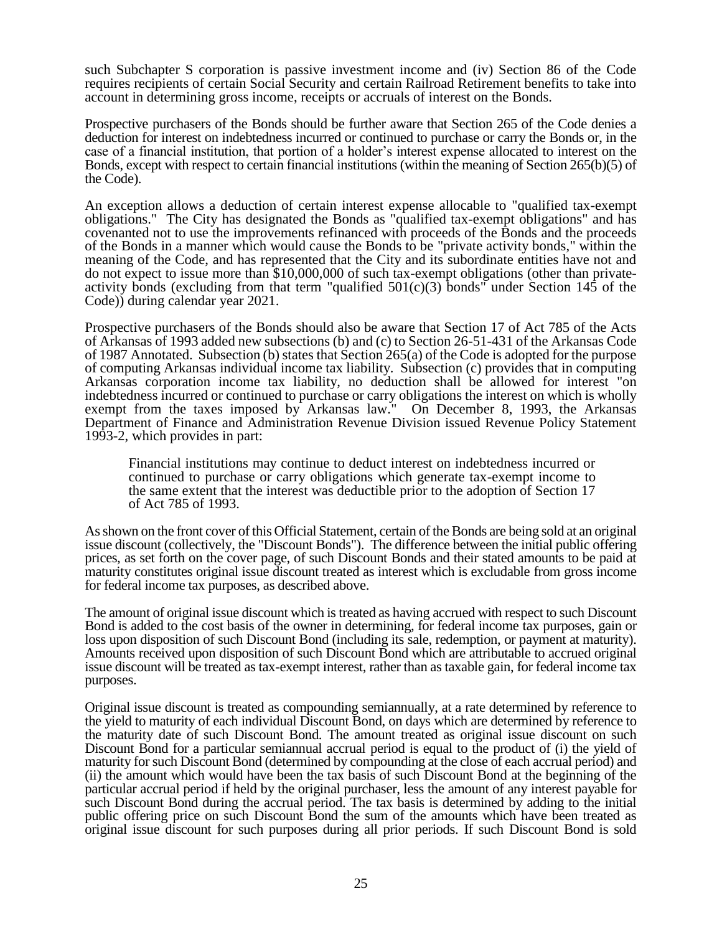such Subchapter S corporation is passive investment income and (iv) Section 86 of the Code requires recipients of certain Social Security and certain Railroad Retirement benefits to take into account in determining gross income, receipts or accruals of interest on the Bonds.

Prospective purchasers of the Bonds should be further aware that Section 265 of the Code denies a deduction for interest on indebtedness incurred or continued to purchase or carry the Bonds or, in the case of a financial institution, that portion of a holder's interest expense allocated to interest on the Bonds, except with respect to certain financial institutions (within the meaning of Section 265(b)(5) of the Code).

An exception allows a deduction of certain interest expense allocable to "qualified tax-exempt obligations." The City has designated the Bonds as "qualified tax-exempt obligations" and has covenanted not to use the improvements refinanced with proceeds of the Bonds and the proceeds of the Bonds in a manner which would cause the Bonds to be "private activity bonds," within the meaning of the Code, and has represented that the City and its subordinate entities have not and do not expect to issue more than \$10,000,000 of such tax-exempt obligations (other than privateactivity bonds (excluding from that term "qualified  $501(c)(3)$  bonds" under Section 145 of the Code)) during calendar year 2021.

Prospective purchasers of the Bonds should also be aware that Section 17 of Act 785 of the Acts of Arkansas of 1993 added new subsections (b) and (c) to Section 26-51-431 of the Arkansas Code of 1987 Annotated. Subsection (b) states that Section 265(a) of the Code is adopted for the purpose of computing Arkansas individual income tax liability. Subsection (c) provides that in computing Arkansas corporation income tax liability, no deduction shall be allowed for interest "on indebtedness incurred or continued to purchase or carry obligations the interest on which is wholly exempt from the taxes imposed by Arkansas law." On December 8, 1993, the Arkansas Department of Finance and Administration Revenue Division issued Revenue Policy Statement 1993-2, which provides in part:

Financial institutions may continue to deduct interest on indebtedness incurred or continued to purchase or carry obligations which generate tax-exempt income to the same extent that the interest was deductible prior to the adoption of Section 17 of Act 785 of 1993.

As shown on the front cover of this Official Statement, certain of the Bonds are being sold at an original issue discount (collectively, the "Discount Bonds"). The difference between the initial public offering prices, as set forth on the cover page, of such Discount Bonds and their stated amounts to be paid at maturity constitutes original issue discount treated as interest which is excludable from gross income for federal income tax purposes, as described above.

The amount of original issue discount which is treated as having accrued with respect to such Discount Bond is added to the cost basis of the owner in determining, for federal income tax purposes, gain or loss upon disposition of such Discount Bond (including its sale, redemption, or payment at maturity). Amounts received upon disposition of such Discount Bond which are attributable to accrued original issue discount will be treated as tax-exempt interest, rather than as taxable gain, for federal income tax purposes.

Original issue discount is treated as compounding semiannually, at a rate determined by reference to the yield to maturity of each individual Discount Bond, on days which are determined by reference to the maturity date of such Discount Bond. The amount treated as original issue discount on such Discount Bond for a particular semiannual accrual period is equal to the product of (i) the yield of maturity for such Discount Bond (determined by compounding at the close of each accrual period) and (ii) the amount which would have been the tax basis of such Discount Bond at the beginning of the particular accrual period if held by the original purchaser, less the amount of any interest payable for such Discount Bond during the accrual period. The tax basis is determined by adding to the initial public offering price on such Discount Bond the sum of the amounts which have been treated as original issue discount for such purposes during all prior periods. If such Discount Bond is sold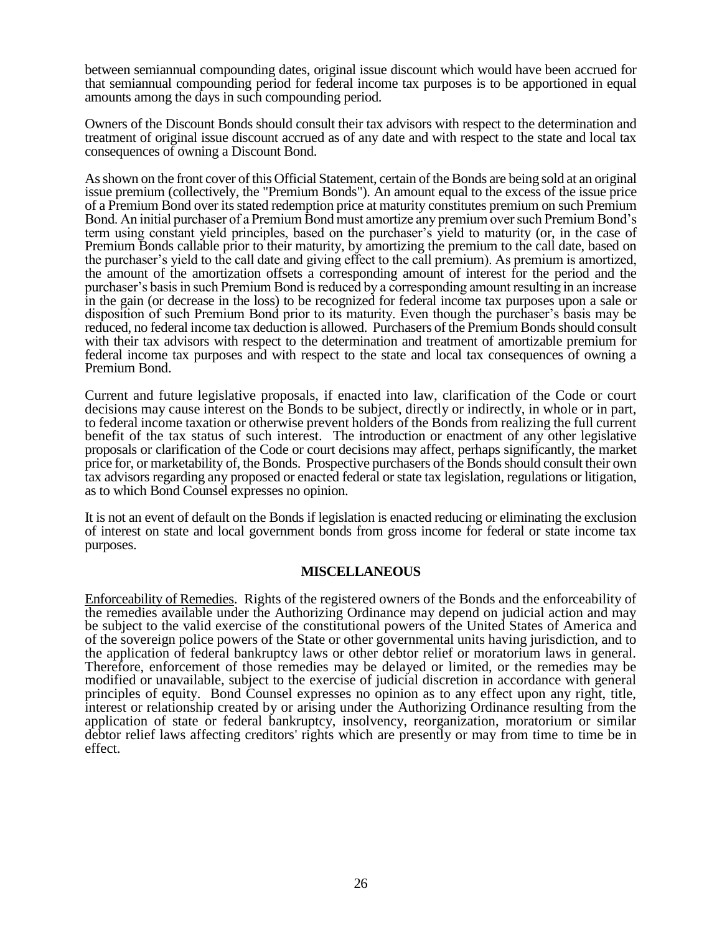between semiannual compounding dates, original issue discount which would have been accrued for that semiannual compounding period for federal income tax purposes is to be apportioned in equal amounts among the days in such compounding period.

Owners of the Discount Bonds should consult their tax advisors with respect to the determination and treatment of original issue discount accrued as of any date and with respect to the state and local tax consequences of owning a Discount Bond.

As shown on the front cover of this Official Statement, certain of the Bonds are being sold at an original issue premium (collectively, the "Premium Bonds"). An amount equal to the excess of the issue price of a Premium Bond over its stated redemption price at maturity constitutes premium on such Premium Bond. An initial purchaser of a Premium Bond must amortize any premium over such Premium Bond's term using constant yield principles, based on the purchaser's yield to maturity (or, in the case of Premium Bonds callable prior to their maturity, by amortizing the premium to the call date, based on the purchaser's yield to the call date and giving effect to the call premium). As premium is amortized, the amount of the amortization offsets a corresponding amount of interest for the period and the purchaser's basis in such Premium Bond is reduced by a corresponding amount resulting in an increase in the gain (or decrease in the loss) to be recognized for federal income tax purposes upon a sale or disposition of such Premium Bond prior to its maturity. Even though the purchaser's basis may be reduced, no federal income tax deduction is allowed. Purchasers of the Premium Bonds should consult with their tax advisors with respect to the determination and treatment of amortizable premium for federal income tax purposes and with respect to the state and local tax consequences of owning a Premium Bond.

Current and future legislative proposals, if enacted into law, clarification of the Code or court decisions may cause interest on the Bonds to be subject, directly or indirectly, in whole or in part, to federal income taxation or otherwise prevent holders of the Bonds from realizing the full current benefit of the tax status of such interest. The introduction or enactment of any other legislative proposals or clarification of the Code or court decisions may affect, perhaps significantly, the market price for, or marketability of, the Bonds. Prospective purchasers of the Bonds should consult their own tax advisors regarding any proposed or enacted federal or state tax legislation, regulations or litigation, as to which Bond Counsel expresses no opinion.

It is not an event of default on the Bonds if legislation is enacted reducing or eliminating the exclusion of interest on state and local government bonds from gross income for federal or state income tax purposes.

### **MISCELLANEOUS**

Enforceability of Remedies. Rights of the registered owners of the Bonds and the enforceability of the remedies available under the Authorizing Ordinance may depend on judicial action and may be subject to the valid exercise of the constitutional powers of the United States of America and of the sovereign police powers of the State or other governmental units having jurisdiction, and to the application of federal bankruptcy laws or other debtor relief or moratorium laws in general. Therefore, enforcement of those remedies may be delayed or limited, or the remedies may be modified or unavailable, subject to the exercise of judicial discretion in accordance with general principles of equity. Bond Counsel expresses no opinion as to any effect upon any right, title, interest or relationship created by or arising under the Authorizing Ordinance resulting from the application of state or federal bankruptcy, insolvency, reorganization, moratorium or similar debtor relief laws affecting creditors' rights which are presently or may from time to time be in effect.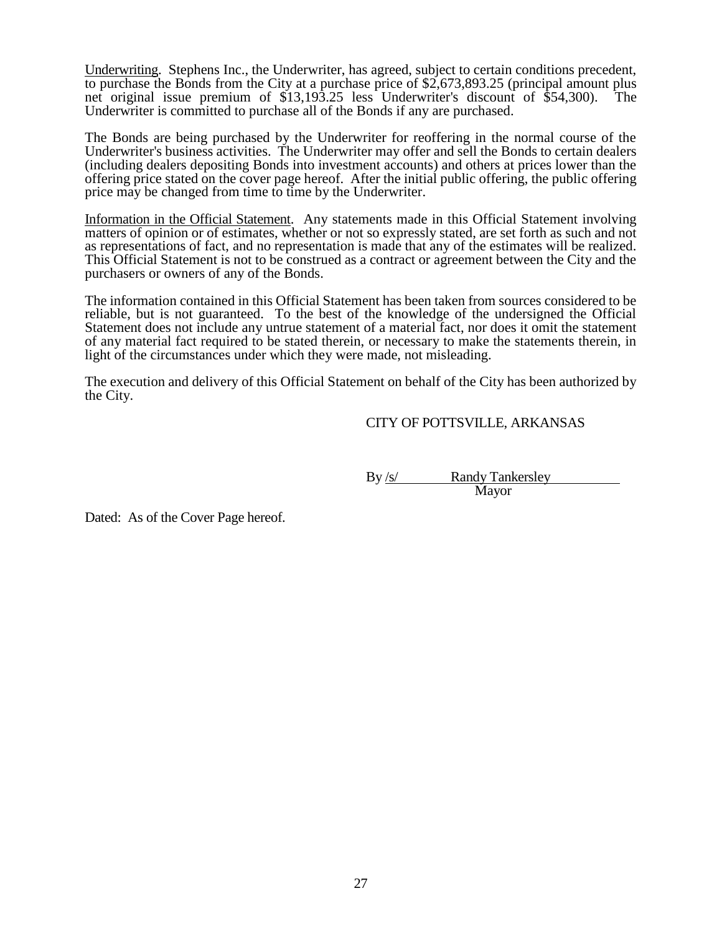Underwriting. Stephens Inc., the Underwriter, has agreed, subject to certain conditions precedent, to purchase the Bonds from the City at a purchase price of \$2,673,893.25 (principal amount plus net original issue premium of \$13,193.25 less Underwriter's discount of \$54,300). The Underwriter is committed to purchase all of the Bonds if any are purchased.

The Bonds are being purchased by the Underwriter for reoffering in the normal course of the Underwriter's business activities. The Underwriter may offer and sell the Bonds to certain dealers (including dealers depositing Bonds into investment accounts) and others at prices lower than the offering price stated on the cover page hereof. After the initial public offering, the public offering price may be changed from time to time by the Underwriter.

Information in the Official Statement. Any statements made in this Official Statement involving matters of opinion or of estimates, whether or not so expressly stated, are set forth as such and not as representations of fact, and no representation is made that any of the estimates will be realized. This Official Statement is not to be construed as a contract or agreement between the City and the purchasers or owners of any of the Bonds.

The information contained in this Official Statement has been taken from sources considered to be reliable, but is not guaranteed. To the best of the knowledge of the undersigned the Official Statement does not include any untrue statement of a material fact, nor does it omit the statement of any material fact required to be stated therein, or necessary to make the statements therein, in light of the circumstances under which they were made, not misleading.

The execution and delivery of this Official Statement on behalf of the City has been authorized by the City.

# CITY OF POTTSVILLE, ARKANSAS

By /s/ Randy Tankersley Mayor

Dated: As of the Cover Page hereof.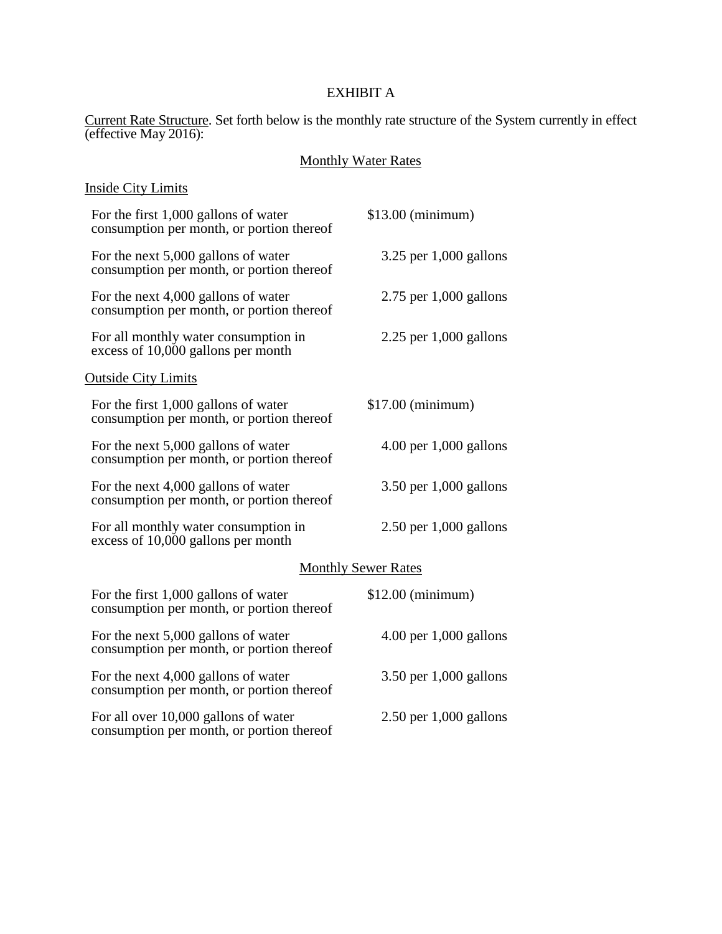# EXHIBIT A

Current Rate Structure. Set forth below is the monthly rate structure of the System currently in effect (effective May 2016):

#### Monthly Water Rates

#### Inside City Limits For the first 1,000 gallons of water consumption per month, or portion thereof \$13.00 (minimum) For the next 5,000 gallons of water consumption per month, or portion thereof 3.25 per 1,000 gallons For the next 4,000 gallons of water consumption per month, or portion thereof 2.75 per 1,000 gallons For all monthly water consumption in excess of 10,000 gallons per month 2.25 per 1,000 gallons Outside City Limits For the first 1,000 gallons of water consumption per month, or portion thereof \$17.00 (minimum) For the next 5,000 gallons of water consumption per month, or portion thereof 4.00 per 1,000 gallons For the next 4,000 gallons of water consumption per month, or portion thereof 3.50 per 1,000 gallons For all monthly water consumption in excess of 10,000 gallons per month 2.50 per 1,000 gallons Monthly Sewer Rates For the first 1,000 gallons of water consumption per month, or portion thereof \$12.00 (minimum) For the next 5,000 gallons of water consumption per month, or portion thereof 4.00 per 1,000 gallons For the next 4,000 gallons of water consumption per month, or portion thereof 3.50 per 1,000 gallons

For all over 10,000 gallons of water consumption per month, or portion thereof 2.50 per 1,000 gallons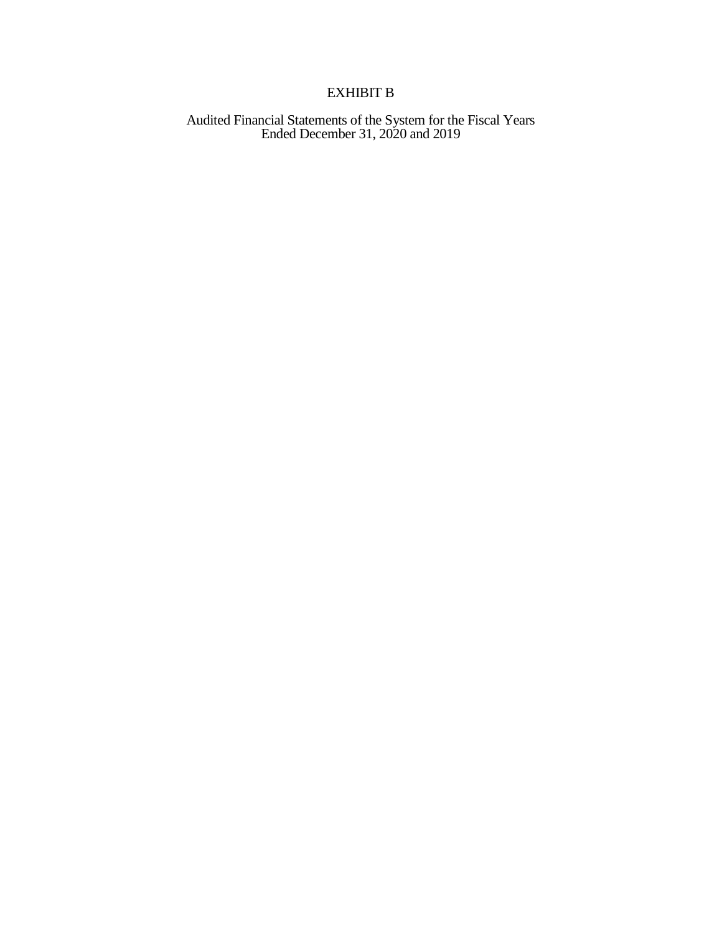# EXHIBIT B

Audited Financial Statements of the System for the Fiscal Years Ended December 31, 2020 and 2019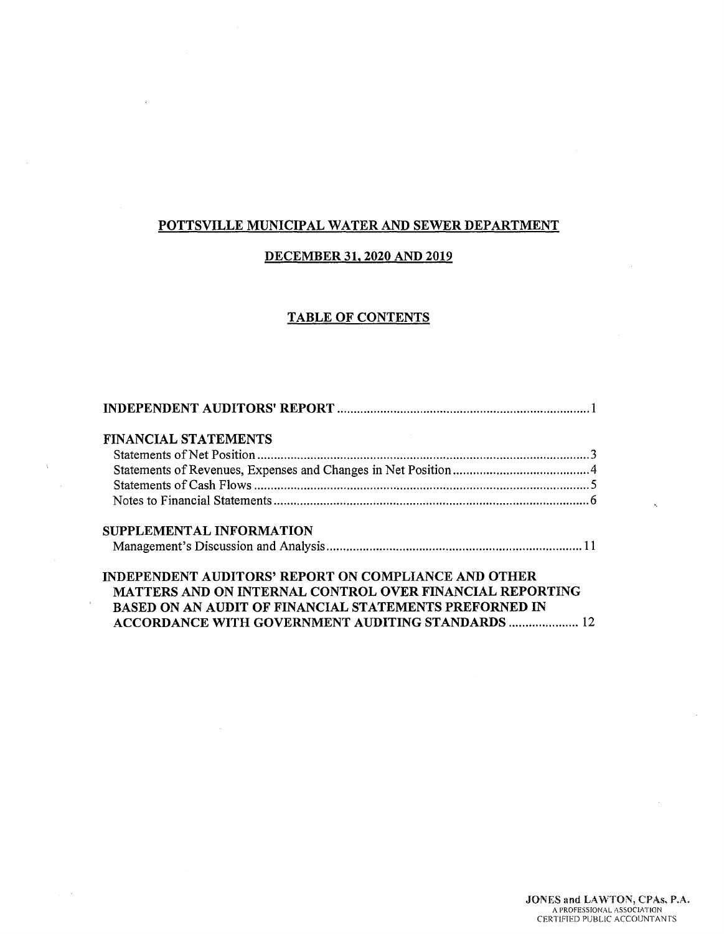# **POTTSVILLE MUNICIPAL WATER AND SEWER DEPARTMENT**

# **DECEMBER 31, 2020 AND 2019**

# **TABLE OF CONTENTS**

| <b>FINANCIAL STATEMENTS</b>                                 |  |
|-------------------------------------------------------------|--|
|                                                             |  |
|                                                             |  |
|                                                             |  |
|                                                             |  |
| SUPPLEMENTAL INFORMATION                                    |  |
|                                                             |  |
| <b>INDEPENDENT AUDITORS' REPORT ON COMPLIANCE AND OTHER</b> |  |
| MATTERS AND ON INTERNAL CONTROL OVER FINANCIAL REPORTING    |  |
| BASED ON AN AUDIT OF FINANCIAL STATEMENTS PREFORNED IN      |  |
| <b>ACCORDANCE WITH GOVERNMENT AUDITING STANDARDS  12</b>    |  |

 $\bar{\Gamma}$ 

k,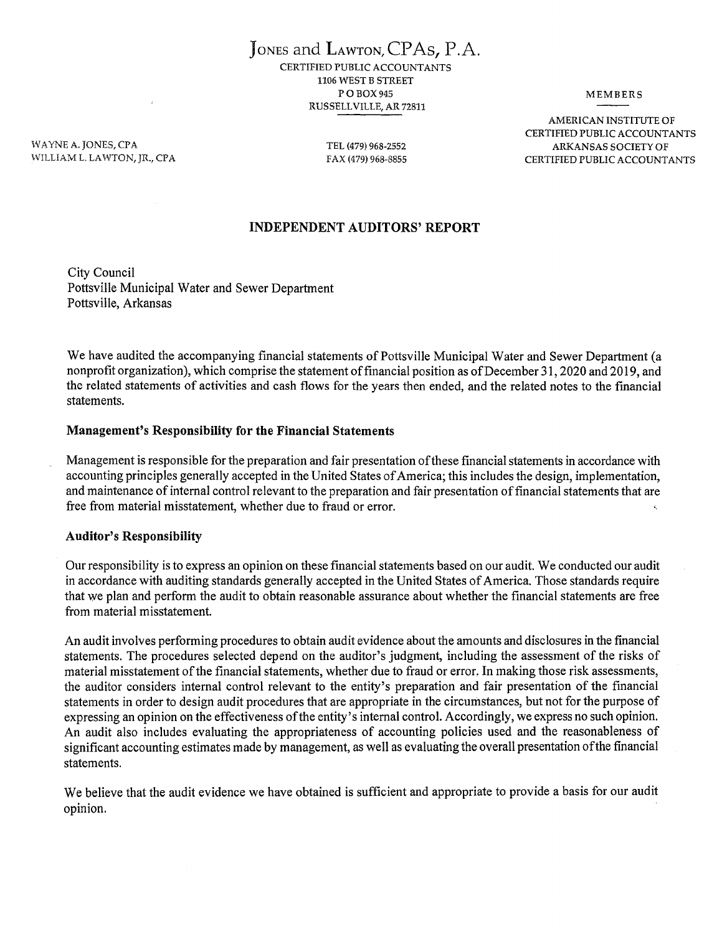JoNEs and LAwToN,CPAs, P.A. CERTIFIED PUBLIC ACCOUNTANTS 1106 WEST B STREET PO<sub>BOX</sub>945 RUSSELL VILLE, AR 72811

MEMBERS

WAYNE A. JONES, CPA WILLIAM L. LAWTON, JR., CPA

TEL (479) 968-2552 FAX (479) 968-8855

AMERICAN INSTITUTE OF CERTIFIED PUBLIC ACCOUNTANTS ARKANSAS SOCIETY OF CERTIFIED PUBLIC ACCOUNTANTS

# **INDEPENDENT AUDITORS' REPORT**

City Council Pottsville Municipal Water and Sewer Department Pottsville, Arkansas

We have audited the accompanying financial statements of Pottsville Municipal Water and Sewer Department (a nonprofit organization), which comprise the statement of financial position as of December 31, 2020 and 2019, and the related statements of activities and cash flows for the years then ended, and the related notes to the financial statements.

#### **Management's Responsibility for the Financial Statements**

Management is responsible for the preparation and fair presentation of these financial statements in accordance with accounting principles generally accepted in the United States of America; this includes the design, implementation, and maintenance of internal control relevant to the preparation and fair presentation of financial statements that are free from material misstatement, whether due to fraud or error.

#### **Auditor's Responsibility**

Our responsibility is to express an opinion on these financial statements based on our audit. We conducted our audit in accordance with auditing standards generally accepted in the United States of America. Those standards require that we plan and perform the audit to obtain reasonable assurance about whether the financial statements are free from material misstatement.

An audit involves performing procedures to obtain audit evidence about the amounts and disclosures in the financial statements. The procedures selected depend on the auditor's judgment, including the assessment of the risks of material misstatement of the financial statements, whether due to fraud or error. In making those risk assessments, the auditor considers internal control relevant to the entity's preparation and fair presentation of the financial statements in order to design audit procedures that are appropriate in the circumstances, but not for the purpose of expressing an opinion on the effectiveness of the entity's internal control. Accordingly, we express no such opinion. An audit also includes evaluating the appropriateness of accounting policies used and the reasonableness of significant accounting estimates made by management, as well as evaluating the overall presentation of the financial statements.

We believe that the audit evidence we have obtained is sufficient and appropriate to provide a basis for our audit opinion.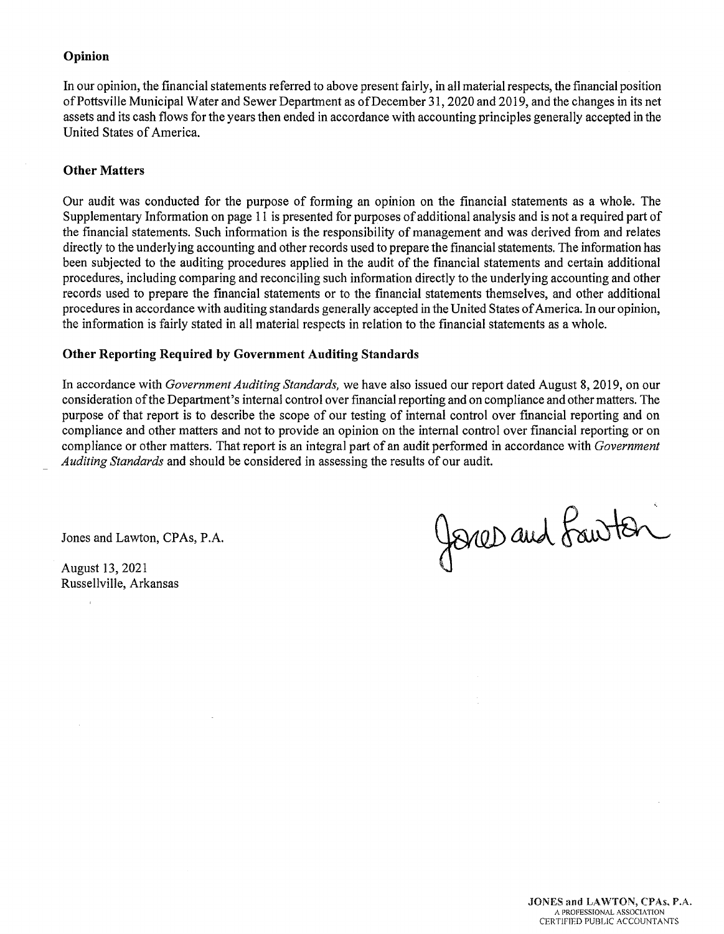### **Opinion**

In our opinion, the financial statements referred to above present fairly, in all material respects, the financial position of Pottsville Municipal Water and Sewer Department as of December 31, 2020 and 2019, and the changes in its net assets and its cash flows for the years then ended in accordance with accounting principles generally accepted in the United States of America.

#### **Other Matters**

Our audit was conducted for the purpose of forming an opinion on the financial statements as a whole. The Supplementary Information on page 11 is presented for purposes of additional analysis and is not a required part of the financial statements. Such information is the responsibility of management and was derived from and relates directly to the underlying accounting and other records used to prepare the financial statements. The information has been subjected to the auditing procedures applied in the audit of the financial statements and certain additional procedures, including comparing and reconciling such information directly to the underlying accounting and other records used to prepare the financial statements or to the financial statements themselves, and other additional procedures in accordance with auditing standards generally accepted in the United States of America. In our opinion, the information is fairly stated in all material respects in relation to the financial statements as a whole.

#### **Other Reporting Required by Government Auditing Standards**

In accordance with *Government Auditing Standards,* we have also issued our report dated August 8, 2019, on our consideration of the Department's internal control over financial reporting and on compliance and other matters. The purpose of that report is to describe the scope of our testing of internal control over financial reporting and on compliance and other matters and not to provide an opinion on the internal control over financial reporting or on compliance or other matters. That report is an integral part of an audit performed in accordance with *Government Auditing Standards* and should be considered in assessing the results of our audit.

Jones and Lawton, CPAs, P.A.

August 13, 2021 Russellville, Arkansas

 $\mathcal{L}$ 

Jones and Lawton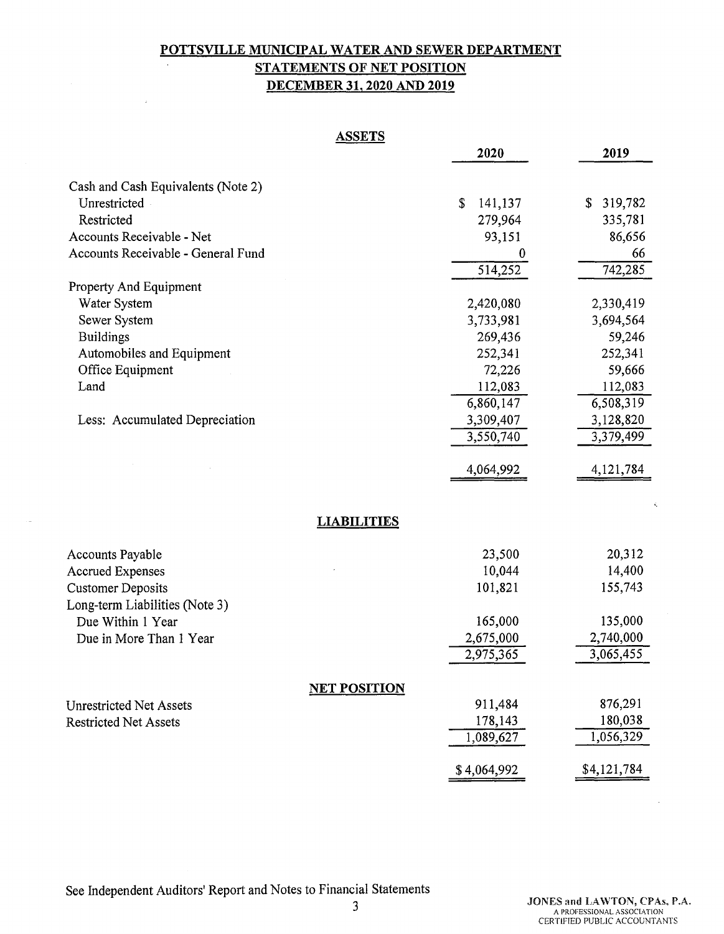# **POTTSVILLE MUNICIPAL WATER AND SEWER DEPARTMENT STATEMENTS OF NET POSITION DECEMBER 31, 2020 AND 2019**

| ASSETS<br>$\boldsymbol{\mu}$ |  |
|------------------------------|--|
|                              |  |

|                                    | 2020                           | 2019          |
|------------------------------------|--------------------------------|---------------|
| Cash and Cash Equivalents (Note 2) |                                |               |
| Unrestricted                       | \$<br>141,137                  | 319,782<br>\$ |
| Restricted                         | 279,964                        | 335,781       |
| Accounts Receivable - Net          | 93,151                         | 86,656        |
| Accounts Receivable - General Fund | 0                              | 66            |
|                                    | 514,252                        | 742,285       |
| Property And Equipment             |                                |               |
| Water System                       | 2,420,080                      | 2,330,419     |
| Sewer System                       | 3,733,981                      | 3,694,564     |
| <b>Buildings</b>                   | 269,436                        | 59,246        |
| Automobiles and Equipment          | 252,341                        | 252,341       |
| Office Equipment                   | 72,226                         | 59,666        |
| Land                               | 112,083                        | 112,083       |
|                                    | 6,860,147                      | 6,508,319     |
| Less: Accumulated Depreciation     | 3,309,407                      | 3,128,820     |
|                                    | 3,550,740                      | 3,379,499     |
|                                    | 4,064,992                      | 4, 121, 784   |
|                                    |                                |               |
|                                    |                                |               |
|                                    | <b>LIABILITIES</b>             |               |
| <b>Accounts Payable</b>            | 23,500                         | 20,312        |
| <b>Accrued Expenses</b>            | 10,044                         | 14,400        |
| <b>Customer Deposits</b>           | 101,821                        | 155,743       |
| Long-term Liabilities (Note 3)     |                                |               |
| Due Within 1 Year                  | 165,000                        | 135,000       |
| Due in More Than 1 Year            | 2,675,000                      | 2,740,000     |
|                                    | 2,975,365                      | 3,065,455     |
|                                    |                                |               |
| <b>Unrestricted Net Assets</b>     | <u>NET POSITION</u><br>911,484 | 876,291       |
| <b>Restricted Net Assets</b>       | 178,143                        | 180,038       |
|                                    | 1,089,627                      | 1,056,329     |
|                                    | \$4,064,992                    | \$4,121,784   |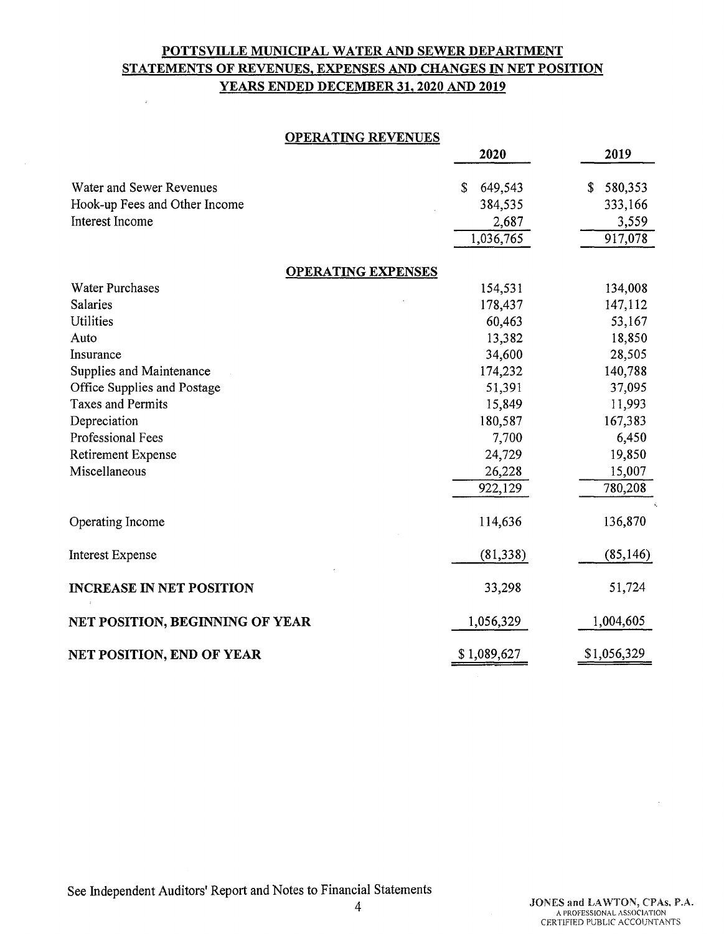# **POTTSVILLE MUNICIPAL WATER AND SEWER DEPARTMENT STATEMENTS OF REVENUES, EXPENSES AND CHANGES IN NET POSITION YEARS ENDED DECEMBER 31, 2020 AND 2019**

 $\bar{z}$ 

#### **OPERATING REVENUES**

|                                  | 2020          | 2019          |
|----------------------------------|---------------|---------------|
|                                  |               |               |
| Water and Sewer Revenues         | \$<br>649,543 | 580,353<br>\$ |
| Hook-up Fees and Other Income    | 384,535       | 333,166       |
| Interest Income                  | 2,687         | 3,559         |
|                                  | 1,036,765     | 917,078       |
| <b>OPERATING EXPENSES</b>        |               |               |
| <b>Water Purchases</b>           | 154,531       | 134,008       |
| Salaries                         | 178,437       | 147,112       |
| <b>Utilities</b>                 | 60,463        | 53,167        |
| Auto                             | 13,382        | 18,850        |
| Insurance                        | 34,600        | 28,505        |
| Supplies and Maintenance         | 174,232       | 140,788       |
| Office Supplies and Postage      | 51,391        | 37,095        |
| <b>Taxes and Permits</b>         | 15,849        | 11,993        |
| Depreciation                     | 180,587       | 167,383       |
| Professional Fees                | 7,700         | 6,450         |
| Retirement Expense               | 24,729        | 19,850        |
| Miscellaneous                    | 26,228        | 15,007        |
|                                  | 922,129       | 780,208       |
| Operating Income                 | 114,636       | 136,870       |
| <b>Interest Expense</b>          | (81, 338)     | (85, 146)     |
| <b>INCREASE IN NET POSITION</b>  | 33,298        | 51,724        |
| NET POSITION, BEGINNING OF YEAR  | 1,056,329     | 1,004,605     |
| <b>NET POSITION, END OF YEAR</b> | \$1,089,627   | \$1,056,329   |

See Independent Auditors' Report and Notes to Financial Statements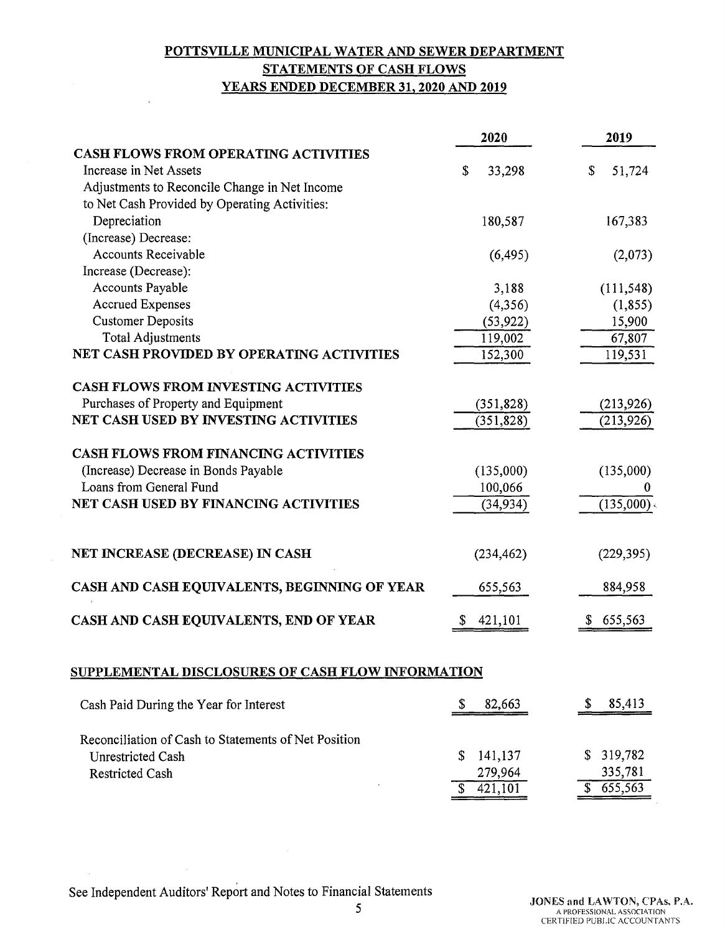# **POTTSVILLE MUNICIPAL WATER AND SEWER DEPARTMENT STATEMENTS OF CASH FLOWS YEARS ENDED DECEMBER 31, 2020 AND 2019**

|                                                          | 2020         | 2019             |  |
|----------------------------------------------------------|--------------|------------------|--|
| <b>CASH FLOWS FROM OPERATING ACTIVITIES</b>              |              |                  |  |
| Increase in Net Assets                                   | \$<br>33,298 | 51,724<br>\$     |  |
| Adjustments to Reconcile Change in Net Income            |              |                  |  |
| to Net Cash Provided by Operating Activities:            |              |                  |  |
| Depreciation                                             | 180,587      | 167,383          |  |
| (Increase) Decrease:                                     |              |                  |  |
| <b>Accounts Receivable</b>                               | (6, 495)     | (2,073)          |  |
| Increase (Decrease):                                     |              |                  |  |
| Accounts Payable                                         | 3,188        | (111, 548)       |  |
| <b>Accrued Expenses</b>                                  | (4,356)      | (1, 855)         |  |
| <b>Customer Deposits</b>                                 | (53, 922)    | 15,900           |  |
| <b>Total Adjustments</b>                                 | 119,002      | 67,807           |  |
| NET CASH PROVIDED BY OPERATING ACTIVITIES                | 152,300      | 119,531          |  |
| <b>CASH FLOWS FROM INVESTING ACTIVITIES</b>              |              |                  |  |
| Purchases of Property and Equipment                      | (351, 828)   | (213, 926)       |  |
| NET CASH USED BY INVESTING ACTIVITIES                    | (351, 828)   | (213, 926)       |  |
| <b>CASH FLOWS FROM FINANCING ACTIVITIES</b>              |              |                  |  |
| (Increase) Decrease in Bonds Payable                     | (135,000)    | (135,000)        |  |
| Loans from General Fund                                  | 100,066      |                  |  |
| NET CASH USED BY FINANCING ACTIVITIES                    | (34, 934)    | (135,000)        |  |
| NET INCREASE (DECREASE) IN CASH                          | (234, 462)   | (229, 395)       |  |
| CASH AND CASH EQUIVALENTS, BEGINNING OF YEAR             | 655,563      | 884,958          |  |
| CASH AND CASH EQUIVALENTS, END OF YEAR                   | 421,101      | 655,563          |  |
| <u>SUPPLEMENTAL DISCLOSURES OF CASH FLOW INFORMATION</u> |              |                  |  |
| Cash Paid During the Year for Interest                   | \$<br>82,663 | 85,413           |  |
| Reconciliation of Cash to Statements of Net Position     |              |                  |  |
| <b>Unrestricted Cash</b>                                 | 141,137<br>S | 319,782          |  |
| <b>Restricted Cash</b>                                   | 279,964      | 335,781          |  |
|                                                          | 421,101      | $\sqrt{655,563}$ |  |

See Independent Auditors' Report and Notes to Financial Statements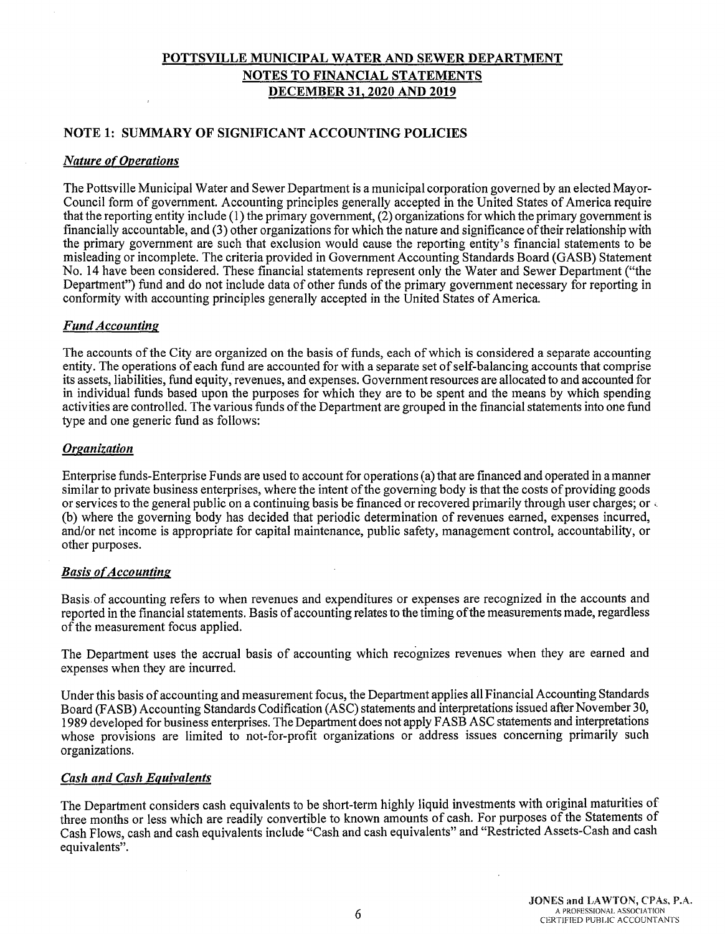#### **NOTE 1: SUMMARY OF SIGNIFICANT ACCOUNTING POLICIES**

#### *Nature of Operations*

The Pottsville Municipal Water and Sewer Department is a municipal corporation governed by an elected Mayor-Council form of government. Accounting principles generally accepted in the United States of America require that the reporting entity include (1) the primary government, (2) organizations for which the primary government is financially accountable, and (3) other organizations for which the nature and significance of their relationship with the primary government are such that exclusion would cause the reporting entity's financial statements to be misleading or incomplete. The criteria provided in Government Accounting Standards Board (GASB) Statement No. 14 have been considered. These financial statements represent only the Water and Sewer Department ("the Department") fund and do not include data of other funds of the primary government necessary for reporting in conformity with accounting principles generally accepted in the United States of America.

#### *Fund Accounting*

The accounts of the City are organized on the basis of funds, each of which is considered a separate accounting entity. The operations of each fund are accounted for with a separate set of self-balancing accounts that comprise its assets, liabilities, fund equity, revenues, and expenses. Government resources are allocated to and accounted for in individual funds based upon the purposes for which they are to be spent and the means by which spending activities are controlled. The various funds of the Department are grouped in the financial statements into one fund type and one generic fund as follows:

#### *Organization*

Enterprise funds-Enterprise Funds are used to account for operations (a) that are financed and operated in a manner similar to private business enterprises, where the intent of the governing body is that the costs of providing goods or services to the general public on a continuing basis be financed or recovered primarily through user charges; or , (b) where the governing body has decided that periodic determination of revenues earned, expenses incurred, and/or net income is appropriate for capital maintenance, public safety, management control, accountability, or other purposes.

#### *Basis of Accounting*

Basis, of accounting refers to when revenues and expenditures or expenses are recognized in the accounts and reported in the financial statements. Basis of accounting relates to the timing of the measurements made, regardless of the measurement focus applied.

The Department uses the accrual basis of accounting which recognizes revenues when they are earned and expenses when they are incurred.

Under this basis of accounting and measurement focus, the Department applies all Financial Accounting Standards Board (FASB) Accounting Standards Codification (ASC) statements and interpretations issued after November 30, 1989 developed for business enterprises. The Department does not apply FASB ASC statements and interpretations whose provisions are limited to not-for-profit organizations or address issues concerning primarily such organizations.

#### *Cash and Cash Equivalents*

The Department considers cash equivalents to be short-term highly liquid investments with original maturities of three months or less which are readily convertible to known amounts of cash. For purposes of the Statements of Cash Flows, cash and cash equivalents include "Cash and cash equivalents" and "Restricted Assets-Cash and cash equivalents".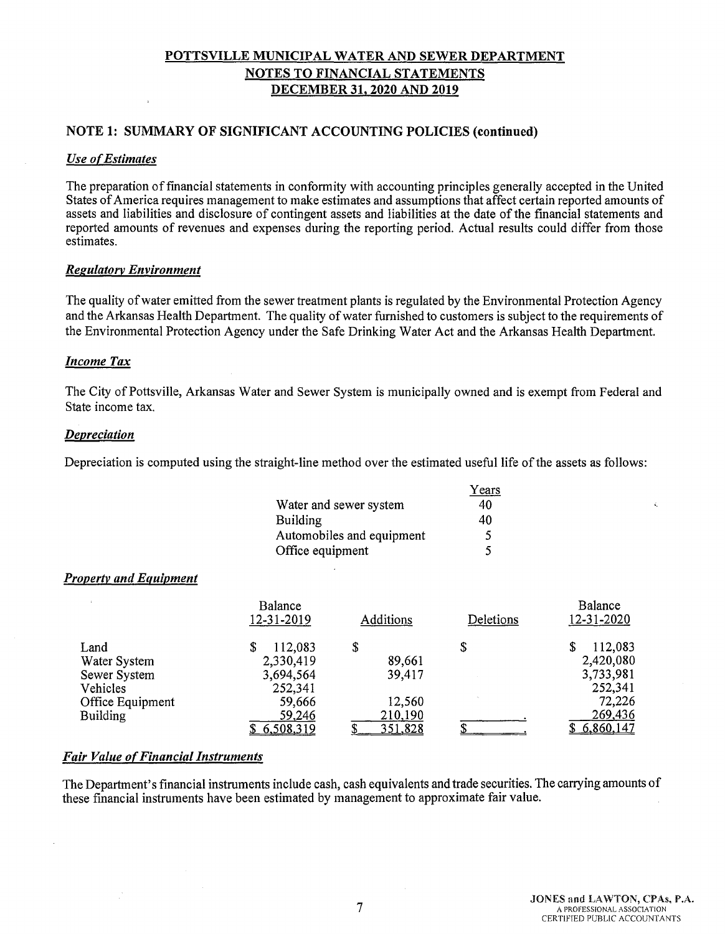### **NOTE 1: SUMMARY OF SIGNIFICANT ACCOUNTING POLICIES (continued)**

#### *Use o{Estimates*

The preparation of financial statements in conformity with accounting principles generally accepted in the United States of America requires management to make estimates and assumptions that affect certain reported amounts of assets and liabilities and disclosure of contingent assets and liabilities at the date of the financial statements and reported amounts of revenues and expenses during the reporting period. Actual results could differ from those estimates.

#### *Regulatory Environment*

The quality of water emitted from the sewer treatment plants is regulated by the Environmental Protection Agency and the Arkansas Health Department. The quality of water furnished to customers is subject to the requirements of the Environmental Protection Agency under the Safe Drinking Water Act and the Arkansas Health Department.

#### *Income Tax*

The City of Pottsville, Arkansas Water and Sewer System is municipally owned and is exempt from Federal and State income tax.

#### *Depreciation*

Depreciation is computed using the straight-line method over the estimated useful life of the assets as follows:

|                           | Years |
|---------------------------|-------|
| Water and sewer system    | 40    |
| <b>Building</b>           | 40    |
| Automobiles and equipment | 5     |
| Office equipment          | 5     |

#### *Property and Equipment*

|                  | Balance<br>12-31-2019 | Additions      | Deletions | Balance<br>12-31-2020 |
|------------------|-----------------------|----------------|-----------|-----------------------|
| Land             | 112,083               | \$             |           | 112,083<br>S          |
| Water System     | 2,330,419             | 89,661         |           | 2,420,080             |
| Sewer System     | 3,694,564             | 39,417         |           | 3,733,981             |
| Vehicles         | 252,341               |                |           | 252,341               |
| Office Equipment | 59,666                | 12,560         |           | 72,226                |
| <b>Building</b>  | 59,246                | 210,190        |           | 269,436               |
|                  | 6,508,319             | <u>351,828</u> |           | 6,860,147             |

#### *Fair Value of Financial Instruments*

The Department's financial instruments include cash, cash equivalents and trade securities. The carrying amounts of these financial instruments have been estimated by management to approximate fair value .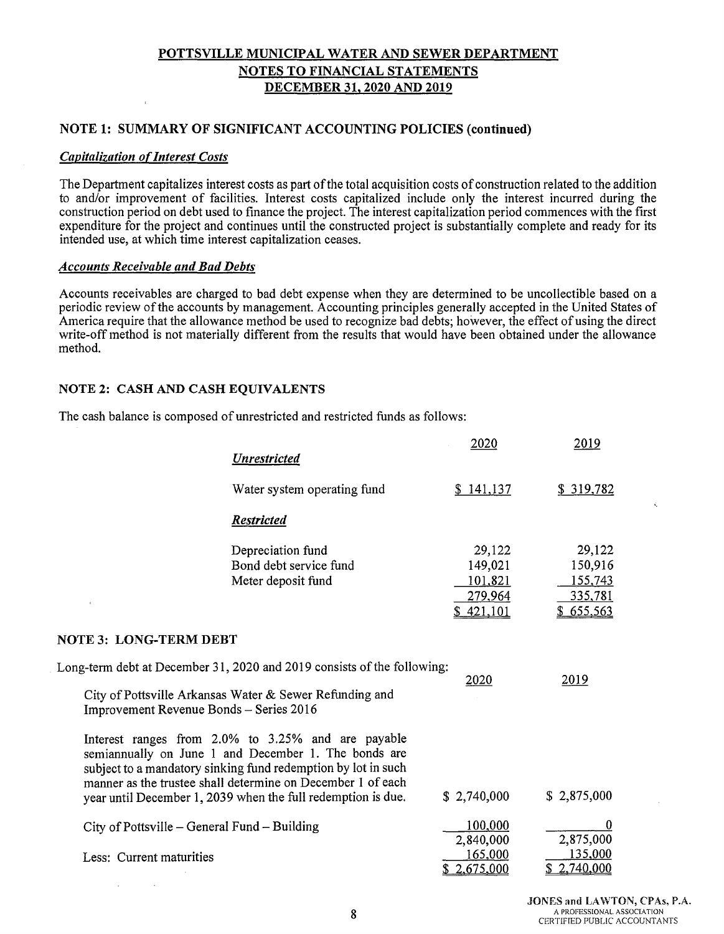# **NOTE 1: SUMMARY OF SIGNIFICANT ACCOUNTING POLICIES (continued)**

#### *Capitalization of Interest Costs*

The Department capitalizes interest costs as part of the total acquisition costs of construction related to the addition to and/or improvement of facilities. Interest costs capitalized include only the interest incurred during the construction period on debt used to finance the project. The interest capitalization period commences with the first expenditure for the project and continues until the constructed project is substantially complete and ready for its intended use, at which time interest capitalization ceases.

#### *Accounts Receivable and Bad Debts*

Accounts receivables are charged to bad debt expense when they are determined to be uncollectible based on a periodic review of the accounts by management. Accounting principles generally accepted in the United States of America require that the allowance method be used to recognize bad debts; however, the effect of using the direct write-off method is not materially different from the results that would have been obtained under the allowance method.

#### **NOTE 2: CASH AND CASH EQUIVALENTS**

The cash balance is composed of unrestricted and restricted funds as follows:

| <b>Unrestricted</b>                                                                                                                                                                                                                                                                                        | 2020                                                 | 2019                                                 |
|------------------------------------------------------------------------------------------------------------------------------------------------------------------------------------------------------------------------------------------------------------------------------------------------------------|------------------------------------------------------|------------------------------------------------------|
| Water system operating fund                                                                                                                                                                                                                                                                                | \$141,137                                            | \$319,782                                            |
| <b>Restricted</b>                                                                                                                                                                                                                                                                                          |                                                      |                                                      |
| Depreciation fund<br>Bond debt service fund<br>Meter deposit fund                                                                                                                                                                                                                                          | 29,122<br>149,021<br>101,821<br>279,964<br>\$421,101 | 29,122<br>150,916<br>155,743<br>335,781<br>\$655,563 |
| <b>NOTE 3: LONG-TERM DEBT</b>                                                                                                                                                                                                                                                                              |                                                      |                                                      |
| Long-term debt at December 31, 2020 and 2019 consists of the following:<br>City of Pottsville Arkansas Water & Sewer Refunding and<br>Improvement Revenue Bonds - Series 2016                                                                                                                              | 2020                                                 | 2019                                                 |
| Interest ranges from 2.0% to 3.25% and are payable<br>semiannually on June 1 and December 1. The bonds are<br>subject to a mandatory sinking fund redemption by lot in such<br>manner as the trustee shall determine on December 1 of each<br>year until December 1, 2039 when the full redemption is due. | \$2,740,000                                          | \$2,875,000                                          |
| City of Pottsville – General Fund – Building                                                                                                                                                                                                                                                               | 100,000<br>2,840,000                                 | 0<br>2,875,000                                       |
| Less: Current maturities                                                                                                                                                                                                                                                                                   | 165,000<br>2,675,000                                 | 135,000<br>2,740,000                                 |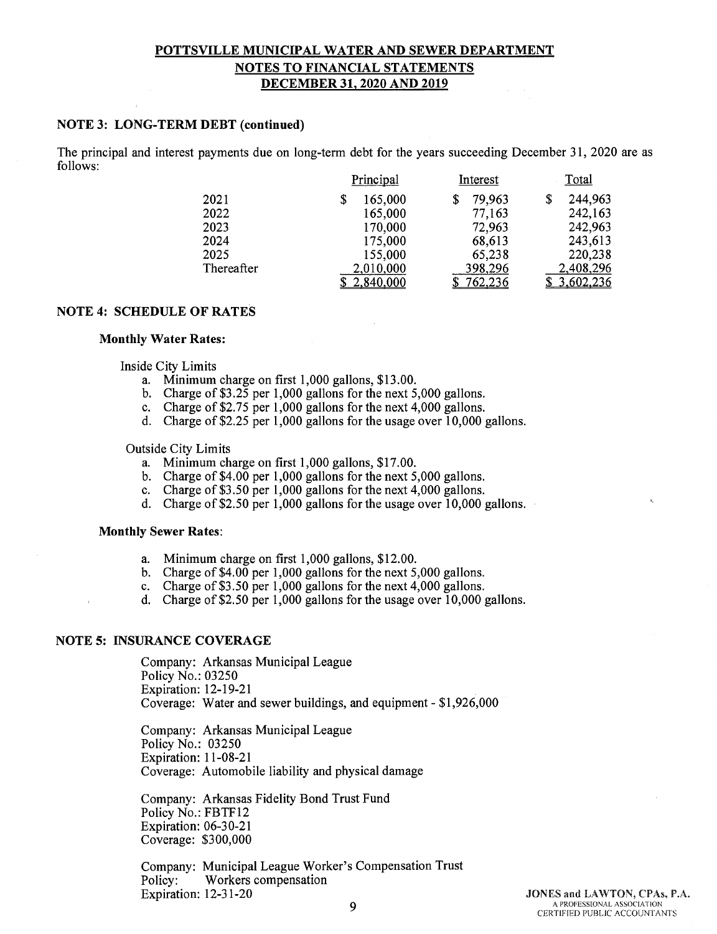#### **NOTE 3: LONG-TERM DEBT (continued)**

The principal and interest payments due on long-term debt for the years succeeding December 31, 2020 are as follows:

|            | Principal     | Interest       | Total     |
|------------|---------------|----------------|-----------|
| 2021       | 165,000<br>\$ | 79,963<br>\$   | 244,963   |
| 2022       | 165,000       | 77,163         | 242,163   |
| 2023       | 170,000       | 72,963         | 242,963   |
| 2024       | 175,000       | 68,613         | 243,613   |
| 2025       | 155,000       | 65,238         | 220,238   |
| Thereafter | 2,010,000     | 398,296        | 2,408,296 |
|            | 2,840,000     | <u>762,236</u> | 3,602,236 |

#### **NOTE 4: SCHEDULE OF RATES**

#### **Monthly Water Rates:**

Inside City Limits

- a. Minimum charge on first 1,000 gallons, \$13.00.
- b. Charge of \$3.25 per 1,000 gallons for the next 5,000 gallons.
- c. Charge of \$2.75 per 1,000 gallons for the next 4,000 gallons.
- d. Charge of \$2.25 per 1,000 gallons for the usage over 10,000 gallons.

#### Outside City Limits

- a. Minimum charge on first 1,000 gallons, \$17.00.
- b. Charge of \$4.00 per 1,000 gallons for the next 5,000 gallons.
- c. Charge of \$3.50 per 1,000 gallons for the next 4,000 gallons.
- d. Charge of\$2.50 per 1,000 gallons for the usage over 10,000 gallons.

#### **Monthly Sewer Rates:**

- a. Minimum charge on first 1,000 gallons, \$12.00.
- b. Charge of \$4.00 per 1,000 gallons for the next 5,000 gallons.
- c. Charge of \$3.50 per 1,000 gallons for the next 4,000 gallons.
- d. Charge of \$2.50 per 1,000 gallons for the usage over 10,000 gallons.

#### **NOTE 5: INSURANCE COVERAGE**

Company: Arkansas Municipal League Policy No.: 03250 Expiration: 12-19-21 Coverage: Water and sewer buildings, and equipment - \$1,926,000

Company: Arkansas Municipal League Policy No.: 03250 Expiration: 11-08-21 Coverage: Automobile liability and physical damage

Company: Arkansas Fidelity Bond Trust Fund Policy No.: FBTF12 Expiration: 06-30-21 Coverage: \$300,000

Company: Municipal League Worker's Compensation Trust Policy: Workers compensation Expiration: 12-31-20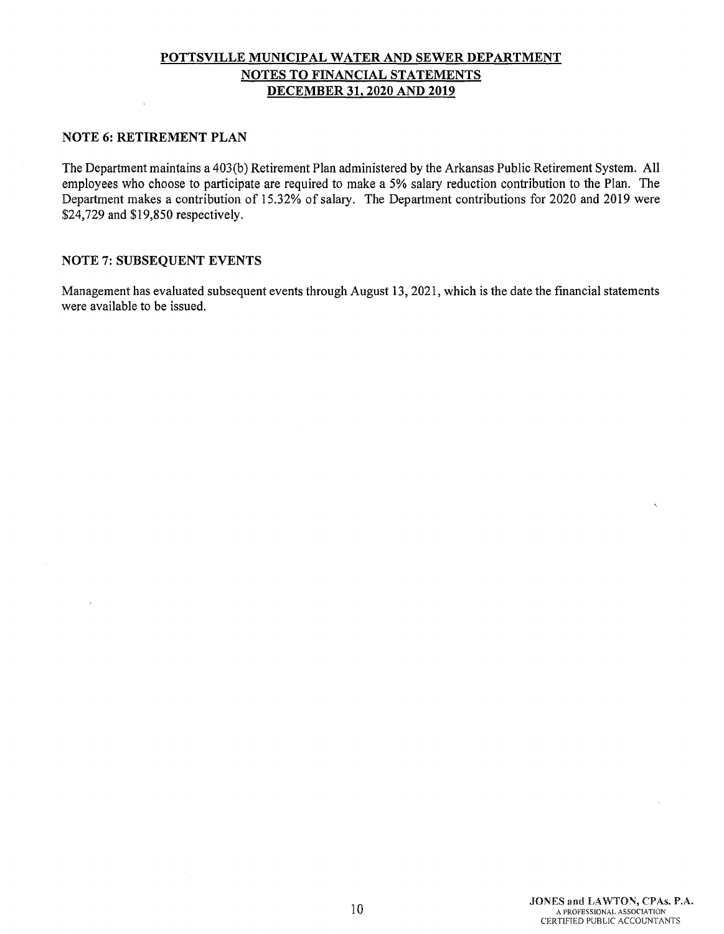#### **NOTE 6: RETIREMENT PLAN**

 $\overline{a}$ 

The Department maintains a 403(b) Retirement Plan administered by the Arkansas Public Retirement System. All employees who choose to participate are required to make a 5% salary reduction contribution to the Plan. The Department makes a contribution of 15.32% of salary. The Department contributions for 2020 and 2019 were \$24,729 and \$19,850 respectively.

# **NOTE** 7: **SUBSEQUENT EVENTS**

Management has evaluated subsequent events through August 13, 2021, which is the date the financial statements were available to be issued.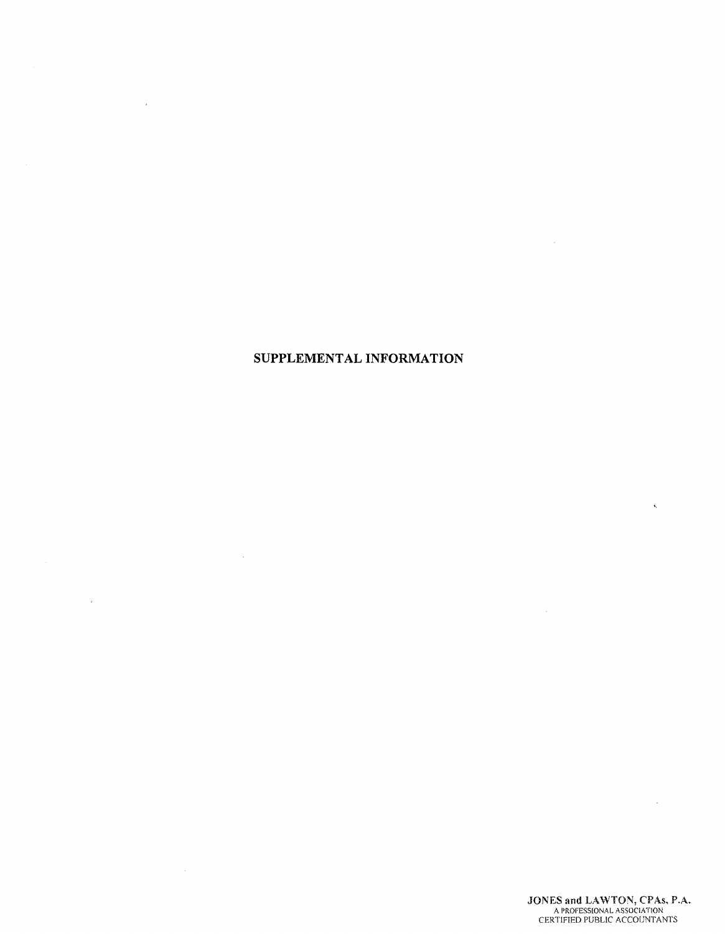# **SUPPLEMENTAL INFORMATION**

 $\sim$ 

 $\sim$ 

 $\sim$ r

 $\hat{\mathbf{x}}_i$ 

 $\mathcal{A}$ 

 $\sim 10^{-1}$ 

 $\sim 10^{-10}$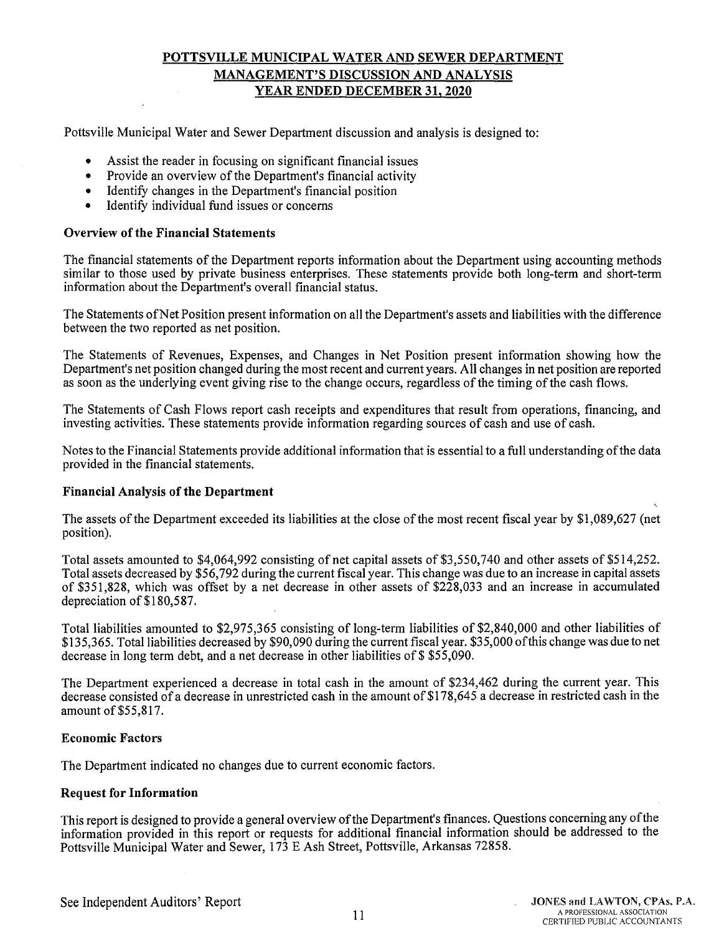# **POTTSVILLE MUNICIPAL WATER AND SEWER DEPARTMENT MANAGEMENT'S DISCUSSION AND ANALYSIS YEAR ENDED DECEMBER 31, 2020**

Pottsville Municipal Water and Sewer Department discussion and analysis is designed to:

- Assist the reader in focusing on significant financial issues
- Provide an overview of the Department's financial activity
- Identify changes in the Department's financial position
- Identify individual fund issues or concerns

#### **Overview of the Financial Statements**

The financial statements of the Department reports information about the Department using accounting methods similar to those used by private business enterprises. These statements provide both long-term and short-term information about the Department's overall financial status.

The Statements of Net Position present information on all the Department's assets and liabilities with the difference between the two reported as net position.

The Statements of Revenues, Expenses, and Changes in Net Position present information showing how the Department's net position changed during the most recent and current years. All changes in net position are reported as soon as the underlying event giving rise to the change occurs, regardless of the timing of the cash flows.

The Statements of Cash Flows report cash receipts and expenditures that result from operations, financing, and investing activities. These statements provide information regarding sources of cash and use of cash.

Notes to the Financial Statements provide additional information that is essential to a full understanding of the data provided in the financial statements.

#### **Financial Analysis of the Department**

The assets of the Department exceeded its liabilities at the close of the most recent fiscal year by \$1,089,627 (net position).

Total assets amounted to \$4,064,992 consisting of net capital assets of \$3,550,740 and other assets of \$514,252. Total assets decreased by \$56,792 during the current fiscal year. This change was due to an increase in capital assets of \$351,828, which was offset by a net decrease in other assets of \$228,033 and an increase in accumulated depreciation of \$180,587.

Total liabilities amounted to \$2,975,365 consisting of long-term liabilities of \$2,840,000 and other liabilities of \$135,365. Total liabilities decreased by \$90,090 during the current fiscal year. \$35,000 of this change was due to net decrease in long term debt, and a net decrease in other liabilities of \$\$55,090.

The Department experienced a decrease in total cash in the amount of \$234,462 during the current year. This decrease consisted of a decrease in unrestricted cash in the amount of \$178,645 a decrease in restricted cash in the amount of \$55,817.

#### **Economic Factors**

The Department indicated no changes due to current economic factors.

#### **Request for Information**

This report is designed to provide a general overview of the Department's finances. Questions concerning any of the information provided in this report or requests for additional financial information should be addressed to the Pottsville Municipal Water and Sewer, 173 E Ash Street, Pottsville, Arkansas 72858.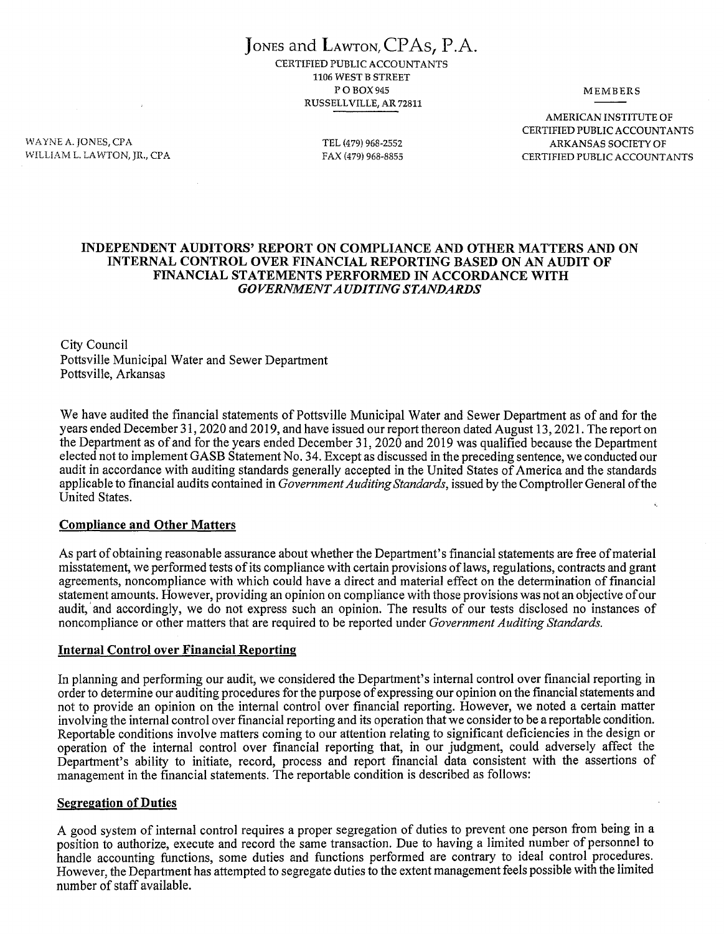JoNEs and LAwToN,CPAs, P.A. CERTIFIED PUBLIC ACCOUNTANTS 1106 WEST B STREET POBOX945 RUSSELL VILLE, AR 72811

**MEMBERS** 

WAYNE A.JONES, CPA WILLIAM L. LAWTON, JR., CPA TEL (479) 968-2552 FAX (479) 968-8855

AMERICAN INSTITUTE OF CERTIFIED PUBLIC ACCOUNTANTS ARKANSAS SOCIETY OF CERTIFIED PUBLIC ACCOUNTANTS

#### **INDEPENDENT AUDITORS' REPORT ON COMPLIANCE AND OTHER MATTERS AND ON INTERNAL CONTROL OVER FINANCIAL REPORTING BASED ON AN AUDIT OF FINANCIAL STATEMENTS PERFORMED IN ACCORDANCE WITH**  *GOVERNMENT AUDITING STANDARDS*

City Council Pottsville Municipal Water and Sewer Department Pottsville, Arkansas

We have audited the financial statements of Pottsville Municipal Water and Sewer Department as of and for the years ended December 31, 2020 and 2019, and have issued our report thereon dated August 13, 2021. The report on the Department as of and for the years ended December 31, 2020 and 2019 was qualified because the Department elected not to implement GASB Statement No. 34. Except as discussed in the preceding sentence, we conducted our audit in accordance with auditing standards generally accepted in the United States of America and the standards applicable to financial audits contained in *Government Auditing Standards,* issued by the Comptroller General of the United States.

#### **Compliance and Other Matters**

As part of obtaining reasonable assurance about whether the Department's financial statements are free of material misstatement, we performed tests of its compliance with certain provisions of laws, regulations, contracts and grant agreements, noncompliance with which could have a direct and material effect on the determination of financial statement amounts. However, providing an opinion on compliance with those provisions was not an objective of our audit, 'and accordingly, we do not express such an opinion. The results of our tests disclosed no instances of noncompliance or other matters that are required to be reported under *Government Auditing Standards.* 

#### **Internal Control over Financial Reporting**

In planning and performing our audit, we considered the Department's internal control over financial reporting in order to determine our auditing procedures for the purpose of expressing our opinion on the financial statements and not to provide an opinion on the internal control over financial reporting. However, we noted a certain matter involving the internal control over financial reporting and its operation that we consider to be a reportable condition. Reportable conditions involve matters coming to our attention relating to significant deficiencies in the design or operation of the internal control over financial reporting that, in our judgment, could adversely affect the Department's ability to initiate, record, process and report financial data consistent with the assertions of management in the financial statements. The reportable condition is described as follows:

#### **Segregation of Duties**

A good system of internal control requires a proper segregation of duties to prevent one person from being in a position to authorize, execute and record the same transaction. Due to having a limited number of personnel to handle accounting functions, some duties and functions performed are contrary to ideal control procedures. However, the Department has attempted to segregate duties to the extent management feels possible with the limited number of staff available.